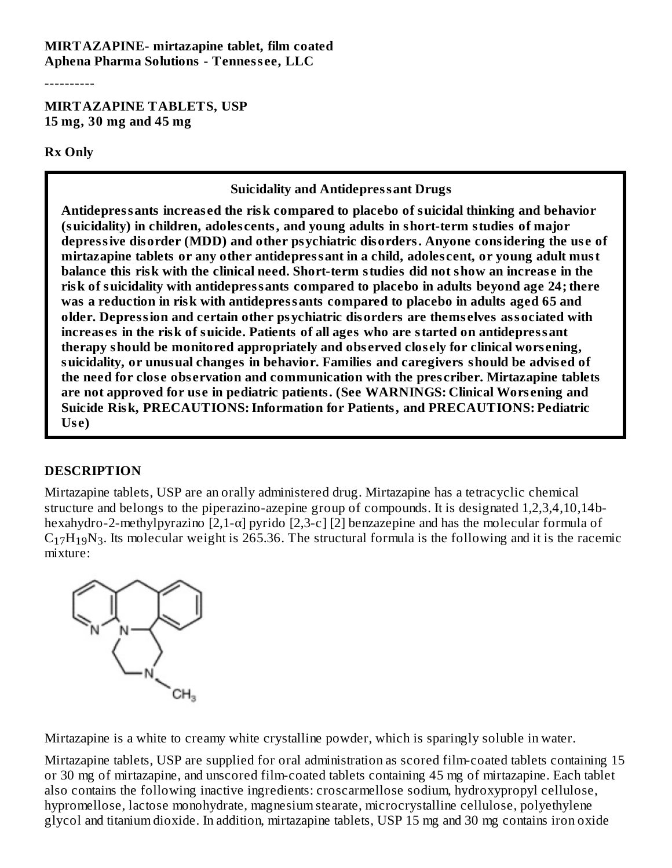#### **MIRTAZAPINE- mirtazapine tablet, film coated Aphena Pharma Solutions - Tenness ee, LLC**

----------

**MIRTAZAPINE TABLETS, USP 15 mg, 30 mg and 45 mg**

**Rx Only**

**Suicidality and Antidepressant Drugs**

**Antidepressants increas ed the risk compared to placebo of suicidal thinking and behavior (suicidality) in children, adoles cents, and young adults in short-term studies of major depressive disorder (MDD) and other psychiatric disorders. Anyone considering the us e of mirtazapine tablets or any other antidepressant in a child, adoles cent, or young adult must balance this risk with the clinical need. Short-term studies did not show an increas e in the risk of suicidality with antidepressants compared to placebo in adults beyond age 24; there was a reduction in risk with antidepressants compared to placebo in adults aged 65 and older. Depression and certain other psychiatric disorders are thems elves associated with increas es in the risk of suicide. Patients of all ages who are started on antidepressant therapy should be monitored appropriately and obs erved clos ely for clinical wors ening, suicidality, or unusual changes in behavior. Families and caregivers should be advis ed of the need for clos e obs ervation and communication with the pres criber. Mirtazapine tablets are not approved for us e in pediatric patients. (See WARNINGS: Clinical Wors ening and Suicide Risk, PRECAUTIONS:Information for Patients, and PRECAUTIONS: Pediatric Us e)**

#### **DESCRIPTION**

Mirtazapine tablets, USP are an orally administered drug. Mirtazapine has a tetracyclic chemical structure and belongs to the piperazino-azepine group of compounds. It is designated 1,2,3,4,10,14bhexahydro-2-methylpyrazino [2,1-α] pyrido [2,3-c] [2] benzazepine and has the molecular formula of  $\rm C_{17}H_{19}N_3$ . Its molecular weight is 265.36. The structural formula is the following and it is the racemic mixture:



Mirtazapine is a white to creamy white crystalline powder, which is sparingly soluble in water.

Mirtazapine tablets, USP are supplied for oral administration as scored film-coated tablets containing 15 or 30 mg of mirtazapine, and unscored film-coated tablets containing 45 mg of mirtazapine. Each tablet also contains the following inactive ingredients: croscarmellose sodium, hydroxypropyl cellulose, hypromellose, lactose monohydrate, magnesium stearate, microcrystalline cellulose, polyethylene glycol and titanium dioxide. In addition, mirtazapine tablets, USP 15 mg and 30 mg contains iron oxide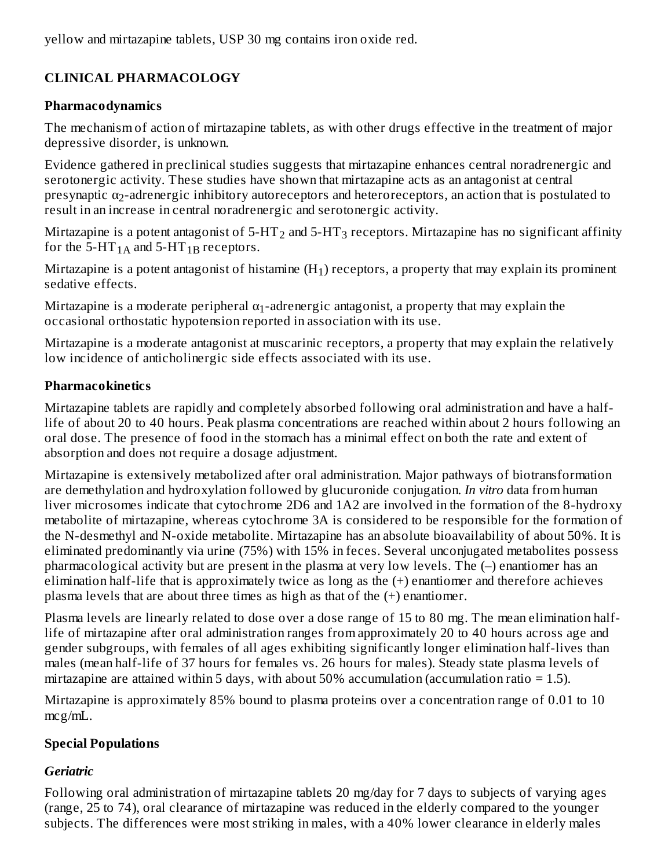yellow and mirtazapine tablets, USP 30 mg contains iron oxide red.

## **CLINICAL PHARMACOLOGY**

### **Pharmacodynamics**

The mechanism of action of mirtazapine tablets, as with other drugs effective in the treatment of major depressive disorder, is unknown.

Evidence gathered in preclinical studies suggests that mirtazapine enhances central noradrenergic and serotonergic activity. These studies have shown that mirtazapine acts as an antagonist at central presynaptic  $\alpha_2$ -adrenergic inhibitory autoreceptors and heteroreceptors, an action that is postulated to result in an increase in central noradrenergic and serotonergic activity.

Mirtazapine is a potent antagonist of 5-HT<sub>2</sub> and 5-HT<sub>3</sub> receptors. Mirtazapine has no significant affinity for the 5-HT<sub>1A</sub> and 5-HT<sub>1B</sub> receptors.

Mirtazapine is a potent antagonist of histamine  $\rm(H_{1})$  receptors, a property that may explain its prominent sedative effects.

Mirtazapine is a moderate peripheral  $\alpha_1$ -adrenergic antagonist, a property that may explain the occasional orthostatic hypotension reported in association with its use.

Mirtazapine is a moderate antagonist at muscarinic receptors, a property that may explain the relatively low incidence of anticholinergic side effects associated with its use.

## **Pharmacokinetics**

Mirtazapine tablets are rapidly and completely absorbed following oral administration and have a halflife of about 20 to 40 hours. Peak plasma concentrations are reached within about 2 hours following an oral dose. The presence of food in the stomach has a minimal effect on both the rate and extent of absorption and does not require a dosage adjustment.

Mirtazapine is extensively metabolized after oral administration. Major pathways of biotransformation are demethylation and hydroxylation followed by glucuronide conjugation. *In vitro* data from human liver microsomes indicate that cytochrome 2D6 and 1A2 are involved in the formation of the 8-hydroxy metabolite of mirtazapine, whereas cytochrome 3A is considered to be responsible for the formation of the N-desmethyl and N-oxide metabolite. Mirtazapine has an absolute bioavailability of about 50%. It is eliminated predominantly via urine (75%) with 15% in feces. Several unconjugated metabolites possess pharmacological activity but are present in the plasma at very low levels. The (–) enantiomer has an elimination half-life that is approximately twice as long as the (+) enantiomer and therefore achieves plasma levels that are about three times as high as that of the (+) enantiomer.

Plasma levels are linearly related to dose over a dose range of 15 to 80 mg. The mean elimination halflife of mirtazapine after oral administration ranges from approximately 20 to 40 hours across age and gender subgroups, with females of all ages exhibiting significantly longer elimination half-lives than males (mean half-life of 37 hours for females vs. 26 hours for males). Steady state plasma levels of mirtazapine are attained within 5 days, with about 50% accumulation (accumulation ratio  $= 1.5$ ).

Mirtazapine is approximately 85% bound to plasma proteins over a concentration range of 0.01 to 10 mcg/mL.

## **Special Populations**

## *Geriatric*

Following oral administration of mirtazapine tablets 20 mg/day for 7 days to subjects of varying ages (range, 25 to 74), oral clearance of mirtazapine was reduced in the elderly compared to the younger subjects. The differences were most striking in males, with a 40% lower clearance in elderly males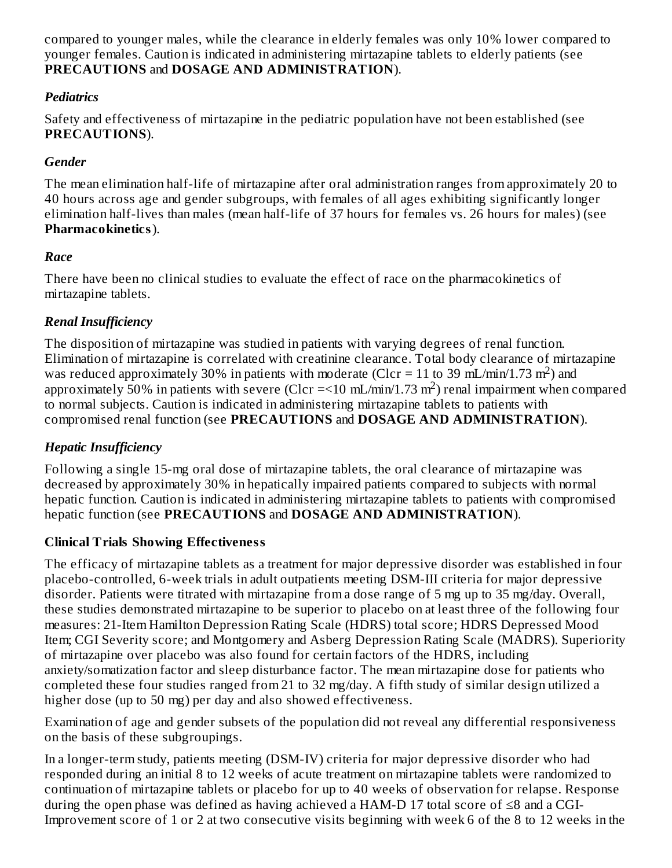compared to younger males, while the clearance in elderly females was only 10% lower compared to younger females. Caution is indicated in administering mirtazapine tablets to elderly patients (see **PRECAUTIONS** and **DOSAGE AND ADMINISTRATION**).

### *Pediatrics*

Safety and effectiveness of mirtazapine in the pediatric population have not been established (see **PRECAUTIONS**).

### *Gender*

The mean elimination half-life of mirtazapine after oral administration ranges from approximately 20 to 40 hours across age and gender subgroups, with females of all ages exhibiting significantly longer elimination half-lives than males (mean half-life of 37 hours for females vs. 26 hours for males) (see **Pharmacokinetics**).

### *Race*

There have been no clinical studies to evaluate the effect of race on the pharmacokinetics of mirtazapine tablets.

### *Renal Insufficiency*

The disposition of mirtazapine was studied in patients with varying degrees of renal function. Elimination of mirtazapine is correlated with creatinine clearance. Total body clearance of mirtazapine was reduced approximately 30% in patients with moderate (Clcr = 11 to 39 mL/min/1.73 m<sup>2</sup>) and approximately 50% in patients with severe (Clcr = < 10 mL/min/1.73 m<sup>2</sup>) renal impairment when compared to normal subjects. Caution is indicated in administering mirtazapine tablets to patients with compromised renal function (see **PRECAUTIONS** and **DOSAGE AND ADMINISTRATION**).

#### *Hepatic Insufficiency*

Following a single 15-mg oral dose of mirtazapine tablets, the oral clearance of mirtazapine was decreased by approximately 30% in hepatically impaired patients compared to subjects with normal hepatic function. Caution is indicated in administering mirtazapine tablets to patients with compromised hepatic function (see **PRECAUTIONS** and **DOSAGE AND ADMINISTRATION**).

### **Clinical Trials Showing Effectiveness**

The efficacy of mirtazapine tablets as a treatment for major depressive disorder was established in four placebo-controlled, 6-week trials in adult outpatients meeting DSM-III criteria for major depressive disorder. Patients were titrated with mirtazapine from a dose range of 5 mg up to 35 mg/day. Overall, these studies demonstrated mirtazapine to be superior to placebo on at least three of the following four measures: 21-Item Hamilton Depression Rating Scale (HDRS) total score; HDRS Depressed Mood Item; CGI Severity score; and Montgomery and Asberg Depression Rating Scale (MADRS). Superiority of mirtazapine over placebo was also found for certain factors of the HDRS, including anxiety/somatization factor and sleep disturbance factor. The mean mirtazapine dose for patients who completed these four studies ranged from 21 to 32 mg/day. A fifth study of similar design utilized a higher dose (up to 50 mg) per day and also showed effectiveness.

Examination of age and gender subsets of the population did not reveal any differential responsiveness on the basis of these subgroupings.

In a longer-term study, patients meeting (DSM-IV) criteria for major depressive disorder who had responded during an initial 8 to 12 weeks of acute treatment on mirtazapine tablets were randomized to continuation of mirtazapine tablets or placebo for up to 40 weeks of observation for relapse. Response during the open phase was defined as having achieved a HAM-D 17 total score of ≤8 and a CGI-Improvement score of 1 or 2 at two consecutive visits beginning with week 6 of the 8 to 12 weeks in the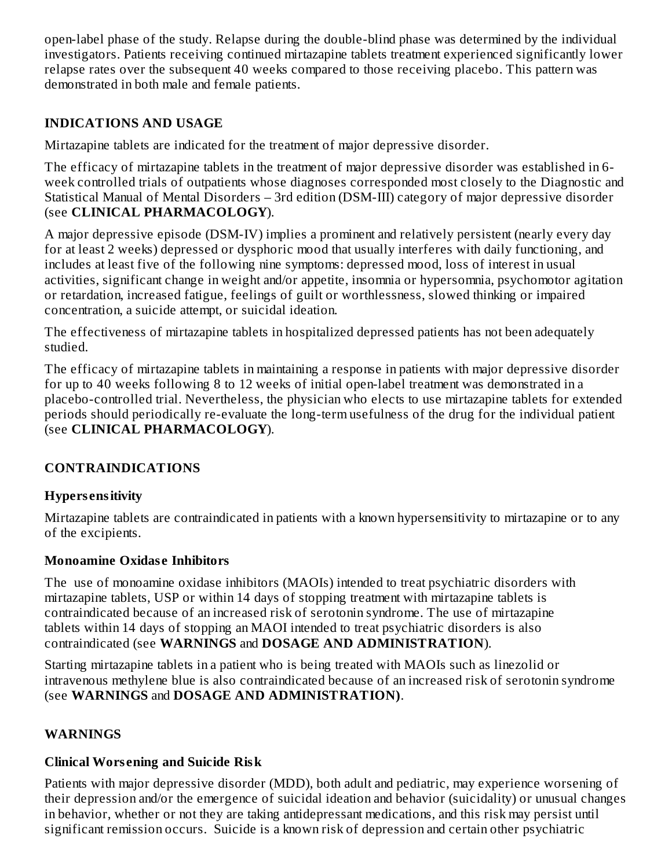open-label phase of the study. Relapse during the double-blind phase was determined by the individual investigators. Patients receiving continued mirtazapine tablets treatment experienced significantly lower relapse rates over the subsequent 40 weeks compared to those receiving placebo. This pattern was demonstrated in both male and female patients.

### **INDICATIONS AND USAGE**

Mirtazapine tablets are indicated for the treatment of major depressive disorder.

The efficacy of mirtazapine tablets in the treatment of major depressive disorder was established in 6 week controlled trials of outpatients whose diagnoses corresponded most closely to the Diagnostic and Statistical Manual of Mental Disorders – 3rd edition (DSM-III) category of major depressive disorder (see **CLINICAL PHARMACOLOGY**).

A major depressive episode (DSM-IV) implies a prominent and relatively persistent (nearly every day for at least 2 weeks) depressed or dysphoric mood that usually interferes with daily functioning, and includes at least five of the following nine symptoms: depressed mood, loss of interest in usual activities, significant change in weight and/or appetite, insomnia or hypersomnia, psychomotor agitation or retardation, increased fatigue, feelings of guilt or worthlessness, slowed thinking or impaired concentration, a suicide attempt, or suicidal ideation.

The effectiveness of mirtazapine tablets in hospitalized depressed patients has not been adequately studied.

The efficacy of mirtazapine tablets in maintaining a response in patients with major depressive disorder for up to 40 weeks following 8 to 12 weeks of initial open-label treatment was demonstrated in a placebo-controlled trial. Nevertheless, the physician who elects to use mirtazapine tablets for extended periods should periodically re-evaluate the long-term usefulness of the drug for the individual patient (see **CLINICAL PHARMACOLOGY**).

### **CONTRAINDICATIONS**

### **Hypers ensitivity**

Mirtazapine tablets are contraindicated in patients with a known hypersensitivity to mirtazapine or to any of the excipients.

#### **Monoamine Oxidas e Inhibitors**

The use of monoamine oxidase inhibitors (MAOIs) intended to treat psychiatric disorders with mirtazapine tablets, USP or within 14 days of stopping treatment with mirtazapine tablets is contraindicated because of an increased risk of serotonin syndrome. The use of mirtazapine tablets within 14 days of stopping an MAOI intended to treat psychiatric disorders is also contraindicated (see **WARNINGS** and **DOSAGE AND ADMINISTRATION**).

Starting mirtazapine tablets in a patient who is being treated with MAOIs such as linezolid or intravenous methylene blue is also contraindicated because of an increased risk of serotonin syndrome (see **WARNINGS** and **DOSAGE AND ADMINISTRATION)**.

### **WARNINGS**

## **Clinical Wors ening and Suicide Risk**

Patients with major depressive disorder (MDD), both adult and pediatric, may experience worsening of their depression and/or the emergence of suicidal ideation and behavior (suicidality) or unusual changes in behavior, whether or not they are taking antidepressant medications, and this risk may persist until significant remission occurs. Suicide is a known risk of depression and certain other psychiatric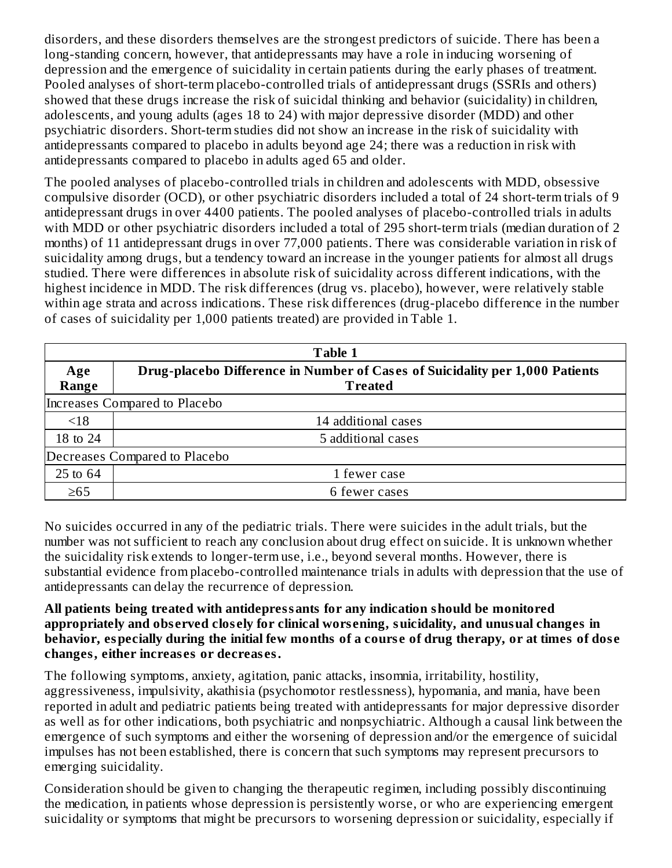disorders, and these disorders themselves are the strongest predictors of suicide. There has been a long-standing concern, however, that antidepressants may have a role in inducing worsening of depression and the emergence of suicidality in certain patients during the early phases of treatment. Pooled analyses of short-term placebo-controlled trials of antidepressant drugs (SSRIs and others) showed that these drugs increase the risk of suicidal thinking and behavior (suicidality) in children, adolescents, and young adults (ages 18 to 24) with major depressive disorder (MDD) and other psychiatric disorders. Short-term studies did not show an increase in the risk of suicidality with antidepressants compared to placebo in adults beyond age 24; there was a reduction in risk with antidepressants compared to placebo in adults aged 65 and older.

The pooled analyses of placebo-controlled trials in children and adolescents with MDD, obsessive compulsive disorder (OCD), or other psychiatric disorders included a total of 24 short-term trials of 9 antidepressant drugs in over 4400 patients. The pooled analyses of placebo-controlled trials in adults with MDD or other psychiatric disorders included a total of 295 short-term trials (median duration of 2 months) of 11 antidepressant drugs in over 77,000 patients. There was considerable variation in risk of suicidality among drugs, but a tendency toward an increase in the younger patients for almost all drugs studied. There were differences in absolute risk of suicidality across different indications, with the highest incidence in MDD. The risk differences (drug vs. placebo), however, were relatively stable within age strata and across indications. These risk differences (drug-placebo difference in the number of cases of suicidality per 1,000 patients treated) are provided in Table 1.

|                               | Table 1                                                                                        |  |  |  |  |
|-------------------------------|------------------------------------------------------------------------------------------------|--|--|--|--|
| Age<br>Range                  | Drug-placebo Difference in Number of Cases of Suicidality per 1,000 Patients<br><b>Treated</b> |  |  |  |  |
|                               | Increases Compared to Placebo                                                                  |  |  |  |  |
| $\leq 18$                     | 14 additional cases                                                                            |  |  |  |  |
| 18 to 24                      | 5 additional cases                                                                             |  |  |  |  |
| Decreases Compared to Placebo |                                                                                                |  |  |  |  |
| 25 to 64                      | 1 fewer case                                                                                   |  |  |  |  |
| $\geq 65$                     | 6 fewer cases                                                                                  |  |  |  |  |

No suicides occurred in any of the pediatric trials. There were suicides in the adult trials, but the number was not sufficient to reach any conclusion about drug effect on suicide. It is unknown whether the suicidality risk extends to longer-term use, i.e., beyond several months. However, there is substantial evidence from placebo-controlled maintenance trials in adults with depression that the use of antidepressants can delay the recurrence of depression.

#### **All patients being treated with antidepressants for any indication should be monitored appropriately and obs erved clos ely for clinical wors ening, suicidality, and unusual changes in** behavior, especially during the initial few months of a course of drug therapy, or at times of dose **changes, either increas es or decreas es.**

The following symptoms, anxiety, agitation, panic attacks, insomnia, irritability, hostility, aggressiveness, impulsivity, akathisia (psychomotor restlessness), hypomania, and mania, have been reported in adult and pediatric patients being treated with antidepressants for major depressive disorder as well as for other indications, both psychiatric and nonpsychiatric. Although a causal link between the emergence of such symptoms and either the worsening of depression and/or the emergence of suicidal impulses has not been established, there is concern that such symptoms may represent precursors to emerging suicidality.

Consideration should be given to changing the therapeutic regimen, including possibly discontinuing the medication, in patients whose depression is persistently worse, or who are experiencing emergent suicidality or symptoms that might be precursors to worsening depression or suicidality, especially if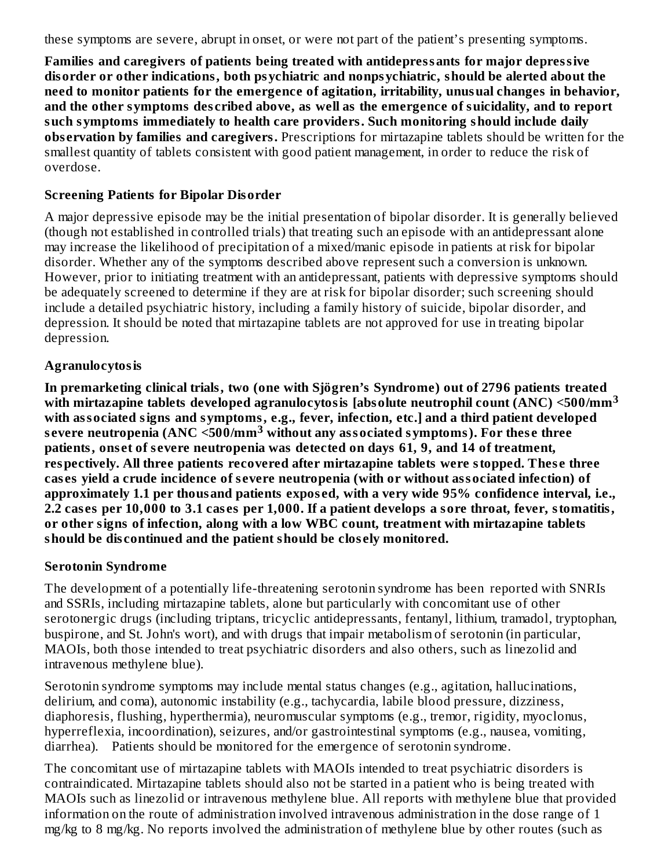these symptoms are severe, abrupt in onset, or were not part of the patient's presenting symptoms.

**Families and caregivers of patients being treated with antidepressants for major depressive disorder or other indications, both psychiatric and nonpsychiatric, should be alerted about the need to monitor patients for the emergence of agitation, irritability, unusual changes in behavior, and the other symptoms des cribed above, as well as the emergence of suicidality, and to report such symptoms immediately to health care providers. Such monitoring should include daily obs ervation by families and caregivers.** Prescriptions for mirtazapine tablets should be written for the smallest quantity of tablets consistent with good patient management, in order to reduce the risk of overdose.

### **Screening Patients for Bipolar Disorder**

A major depressive episode may be the initial presentation of bipolar disorder. It is generally believed (though not established in controlled trials) that treating such an episode with an antidepressant alone may increase the likelihood of precipitation of a mixed/manic episode in patients at risk for bipolar disorder. Whether any of the symptoms described above represent such a conversion is unknown. However, prior to initiating treatment with an antidepressant, patients with depressive symptoms should be adequately screened to determine if they are at risk for bipolar disorder; such screening should include a detailed psychiatric history, including a family history of suicide, bipolar disorder, and depression. It should be noted that mirtazapine tablets are not approved for use in treating bipolar depression.

### **Agranulocytosis**

**In premarketing clinical trials, two (one with Sjögren's Syndrome) out of 2796 patients treated with mirtazapine tablets developed agranulocytosis [absolute neutrophil count (ANC) <500/mm 3 with associated signs and symptoms, e.g., fever, infection, etc.] and a third patient developed s evere neutropenia (ANC <500/mm without any associated symptoms). For thes e three 3patients, ons et of s evere neutropenia was detected on days 61, 9, and 14 of treatment, respectively. All three patients recovered after mirtazapine tablets were stopped. Thes e three cas es yield a crude incidence of s evere neutropenia (with or without associated infection) of approximately 1.1 per thousand patients expos ed, with a very wide 95% confidence interval, i.e.,** 2.2 cases per 10,000 to 3.1 cases per 1,000. If a patient develops a sore throat, fever, stomatitis, **or other signs of infection, along with a low WBC count, treatment with mirtazapine tablets should be dis continued and the patient should be clos ely monitored.**

### **Serotonin Syndrome**

The development of a potentially life-threatening serotonin syndrome has been reported with SNRIs and SSRIs, including mirtazapine tablets, alone but particularly with concomitant use of other serotonergic drugs (including triptans, tricyclic antidepressants, fentanyl, lithium, tramadol, tryptophan, buspirone, and St. John's wort), and with drugs that impair metabolism of serotonin (in particular, MAOIs, both those intended to treat psychiatric disorders and also others, such as linezolid and intravenous methylene blue).

Serotonin syndrome symptoms may include mental status changes (e.g., agitation, hallucinations, delirium, and coma), autonomic instability (e.g., tachycardia, labile blood pressure, dizziness, diaphoresis, flushing, hyperthermia), neuromuscular symptoms (e.g., tremor, rigidity, myoclonus, hyperreflexia, incoordination), seizures, and/or gastrointestinal symptoms (e.g., nausea, vomiting, diarrhea). Patients should be monitored for the emergence of serotonin syndrome.

The concomitant use of mirtazapine tablets with MAOIs intended to treat psychiatric disorders is contraindicated. Mirtazapine tablets should also not be started in a patient who is being treated with MAOIs such as linezolid or intravenous methylene blue. All reports with methylene blue that provided information on the route of administration involved intravenous administration in the dose range of 1 mg/kg to 8 mg/kg. No reports involved the administration of methylene blue by other routes (such as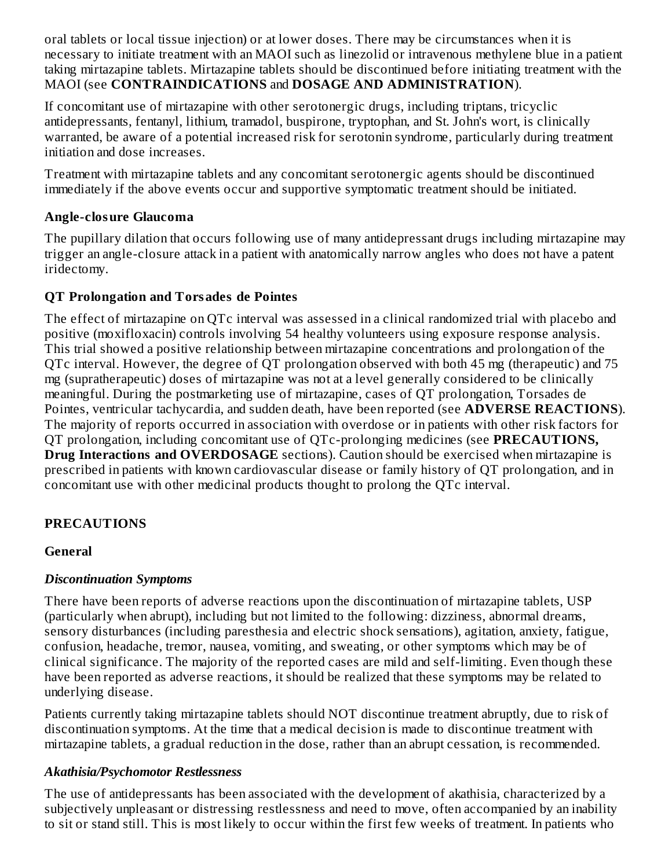oral tablets or local tissue injection) or at lower doses. There may be circumstances when it is necessary to initiate treatment with an MAOI such as linezolid or intravenous methylene blue in a patient taking mirtazapine tablets. Mirtazapine tablets should be discontinued before initiating treatment with the MAOI (see **CONTRAINDICATIONS** and **DOSAGE AND ADMINISTRATION**).

If concomitant use of mirtazapine with other serotonergic drugs, including triptans, tricyclic antidepressants, fentanyl, lithium, tramadol, buspirone, tryptophan, and St. John's wort, is clinically warranted, be aware of a potential increased risk for serotonin syndrome, particularly during treatment initiation and dose increases.

Treatment with mirtazapine tablets and any concomitant serotonergic agents should be discontinued immediately if the above events occur and supportive symptomatic treatment should be initiated.

### **Angle-closure Glaucoma**

The pupillary dilation that occurs following use of many antidepressant drugs including mirtazapine may trigger an angle-closure attack in a patient with anatomically narrow angles who does not have a patent iridectomy.

### **QT Prolongation and Torsades de Pointes**

The effect of mirtazapine on QTc interval was assessed in a clinical randomized trial with placebo and positive (moxifloxacin) controls involving 54 healthy volunteers using exposure response analysis. This trial showed a positive relationship between mirtazapine concentrations and prolongation of the QTc interval. However, the degree of QT prolongation observed with both 45 mg (therapeutic) and 75 mg (supratherapeutic) doses of mirtazapine was not at a level generally considered to be clinically meaningful. During the postmarketing use of mirtazapine, cases of QT prolongation, Torsades de Pointes, ventricular tachycardia, and sudden death, have been reported (see **ADVERSE REACTIONS**). The majority of reports occurred in association with overdose or in patients with other risk factors for QT prolongation, including concomitant use of QTc-prolonging medicines (see **PRECAUTIONS, Drug Interactions and OVERDOSAGE** sections). Caution should be exercised when mirtazapine is prescribed in patients with known cardiovascular disease or family history of QT prolongation, and in concomitant use with other medicinal products thought to prolong the QTc interval.

### **PRECAUTIONS**

### **General**

### *Discontinuation Symptoms*

There have been reports of adverse reactions upon the discontinuation of mirtazapine tablets, USP (particularly when abrupt), including but not limited to the following: dizziness, abnormal dreams, sensory disturbances (including paresthesia and electric shock sensations), agitation, anxiety, fatigue, confusion, headache, tremor, nausea, vomiting, and sweating, or other symptoms which may be of clinical significance. The majority of the reported cases are mild and self-limiting. Even though these have been reported as adverse reactions, it should be realized that these symptoms may be related to underlying disease.

Patients currently taking mirtazapine tablets should NOT discontinue treatment abruptly, due to risk of discontinuation symptoms. At the time that a medical decision is made to discontinue treatment with mirtazapine tablets, a gradual reduction in the dose, rather than an abrupt cessation, is recommended.

### *Akathisia/Psychomotor Restlessness*

The use of antidepressants has been associated with the development of akathisia, characterized by a subjectively unpleasant or distressing restlessness and need to move, often accompanied by an inability to sit or stand still. This is most likely to occur within the first few weeks of treatment. In patients who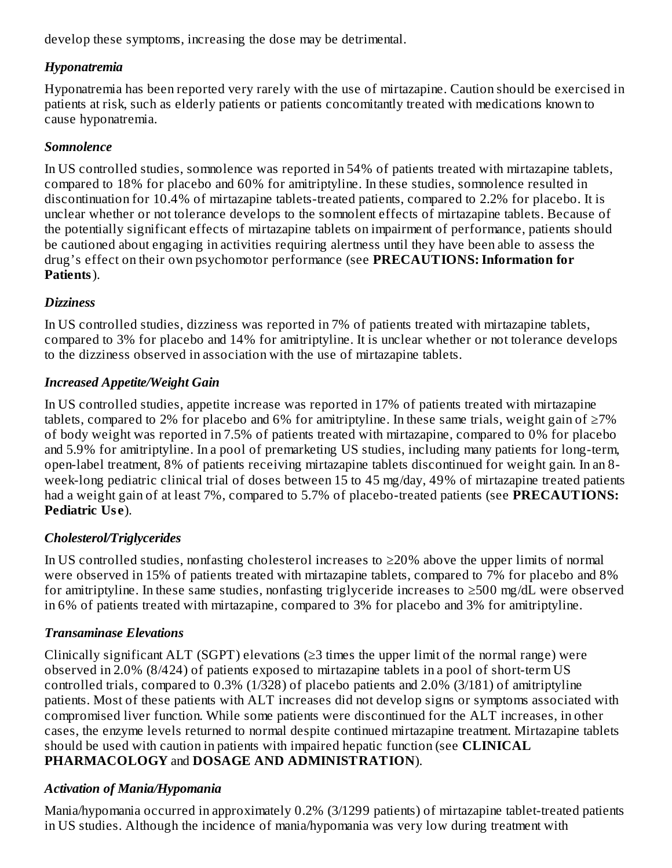develop these symptoms, increasing the dose may be detrimental.

### *Hyponatremia*

Hyponatremia has been reported very rarely with the use of mirtazapine. Caution should be exercised in patients at risk, such as elderly patients or patients concomitantly treated with medications known to cause hyponatremia.

## *Somnolence*

In US controlled studies, somnolence was reported in 54% of patients treated with mirtazapine tablets, compared to 18% for placebo and 60% for amitriptyline. In these studies, somnolence resulted in discontinuation for 10.4% of mirtazapine tablets-treated patients, compared to 2.2% for placebo. It is unclear whether or not tolerance develops to the somnolent effects of mirtazapine tablets. Because of the potentially significant effects of mirtazapine tablets on impairment of performance, patients should be cautioned about engaging in activities requiring alertness until they have been able to assess the drug's effect on their own psychomotor performance (see **PRECAUTIONS:Information for Patients**).

### *Dizziness*

In US controlled studies, dizziness was reported in 7% of patients treated with mirtazapine tablets, compared to 3% for placebo and 14% for amitriptyline. It is unclear whether or not tolerance develops to the dizziness observed in association with the use of mirtazapine tablets.

## *Increased Appetite/Weight Gain*

In US controlled studies, appetite increase was reported in 17% of patients treated with mirtazapine tablets, compared to 2% for placebo and 6% for amitriptyline. In these same trials, weight gain of  $\geq$ 7% of body weight was reported in 7.5% of patients treated with mirtazapine, compared to 0% for placebo and 5.9% for amitriptyline. In a pool of premarketing US studies, including many patients for long-term, open-label treatment, 8% of patients receiving mirtazapine tablets discontinued for weight gain. In an 8 week-long pediatric clinical trial of doses between 15 to 45 mg/day, 49% of mirtazapine treated patients had a weight gain of at least 7%, compared to 5.7% of placebo-treated patients (see **PRECAUTIONS: Pediatric Us e**).

## *Cholesterol/Triglycerides*

In US controlled studies, nonfasting cholesterol increases to ≥20% above the upper limits of normal were observed in 15% of patients treated with mirtazapine tablets, compared to 7% for placebo and 8% for amitriptyline. In these same studies, nonfasting triglyceride increases to ≥500 mg/dL were observed in 6% of patients treated with mirtazapine, compared to 3% for placebo and 3% for amitriptyline.

## *Transaminase Elevations*

Clinically significant ALT (SGPT) elevations ( $\geq$ 3 times the upper limit of the normal range) were observed in 2.0% (8/424) of patients exposed to mirtazapine tablets in a pool of short-term US controlled trials, compared to 0.3% (1/328) of placebo patients and 2.0% (3/181) of amitriptyline patients. Most of these patients with ALT increases did not develop signs or symptoms associated with compromised liver function. While some patients were discontinued for the ALT increases, in other cases, the enzyme levels returned to normal despite continued mirtazapine treatment. Mirtazapine tablets should be used with caution in patients with impaired hepatic function (see **CLINICAL PHARMACOLOGY** and **DOSAGE AND ADMINISTRATION**).

## *Activation of Mania/Hypomania*

Mania/hypomania occurred in approximately 0.2% (3/1299 patients) of mirtazapine tablet-treated patients in US studies. Although the incidence of mania/hypomania was very low during treatment with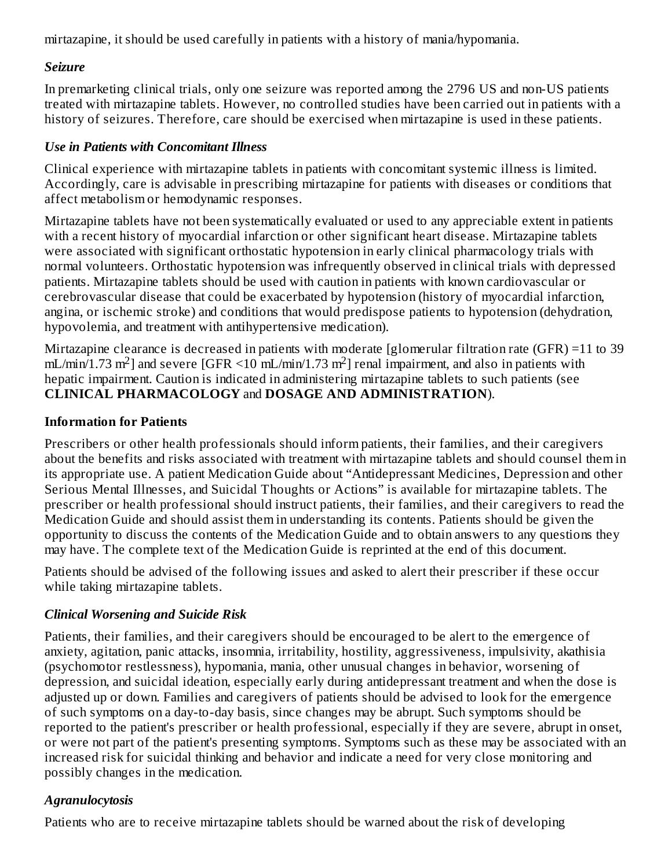mirtazapine, it should be used carefully in patients with a history of mania/hypomania.

### *Seizure*

In premarketing clinical trials, only one seizure was reported among the 2796 US and non-US patients treated with mirtazapine tablets. However, no controlled studies have been carried out in patients with a history of seizures. Therefore, care should be exercised when mirtazapine is used in these patients.

### *Use in Patients with Concomitant Illness*

Clinical experience with mirtazapine tablets in patients with concomitant systemic illness is limited. Accordingly, care is advisable in prescribing mirtazapine for patients with diseases or conditions that affect metabolism or hemodynamic responses.

Mirtazapine tablets have not been systematically evaluated or used to any appreciable extent in patients with a recent history of myocardial infarction or other significant heart disease. Mirtazapine tablets were associated with significant orthostatic hypotension in early clinical pharmacology trials with normal volunteers. Orthostatic hypotension was infrequently observed in clinical trials with depressed patients. Mirtazapine tablets should be used with caution in patients with known cardiovascular or cerebrovascular disease that could be exacerbated by hypotension (history of myocardial infarction, angina, or ischemic stroke) and conditions that would predispose patients to hypotension (dehydration, hypovolemia, and treatment with antihypertensive medication).

Mirtazapine clearance is decreased in patients with moderate [glomerular filtration rate (GFR) =11 to 39  $mL/min/1.73 m<sup>2</sup>$ ] and severe [GFR <10 mL/min/1.73 m<sup>2</sup>] renal impairment, and also in patients with hepatic impairment. Caution is indicated in administering mirtazapine tablets to such patients (see **CLINICAL PHARMACOLOGY** and **DOSAGE AND ADMINISTRATION**).

### **Information for Patients**

Prescribers or other health professionals should inform patients, their families, and their caregivers about the benefits and risks associated with treatment with mirtazapine tablets and should counsel them in its appropriate use. A patient Medication Guide about "Antidepressant Medicines, Depression and other Serious Mental Illnesses, and Suicidal Thoughts or Actions" is available for mirtazapine tablets. The prescriber or health professional should instruct patients, their families, and their caregivers to read the Medication Guide and should assist them in understanding its contents. Patients should be given the opportunity to discuss the contents of the Medication Guide and to obtain answers to any questions they may have. The complete text of the Medication Guide is reprinted at the end of this document.

Patients should be advised of the following issues and asked to alert their prescriber if these occur while taking mirtazapine tablets.

### *Clinical Worsening and Suicide Risk*

Patients, their families, and their caregivers should be encouraged to be alert to the emergence of anxiety, agitation, panic attacks, insomnia, irritability, hostility, aggressiveness, impulsivity, akathisia (psychomotor restlessness), hypomania, mania, other unusual changes in behavior, worsening of depression, and suicidal ideation, especially early during antidepressant treatment and when the dose is adjusted up or down. Families and caregivers of patients should be advised to look for the emergence of such symptoms on a day-to-day basis, since changes may be abrupt. Such symptoms should be reported to the patient's prescriber or health professional, especially if they are severe, abrupt in onset, or were not part of the patient's presenting symptoms. Symptoms such as these may be associated with an increased risk for suicidal thinking and behavior and indicate a need for very close monitoring and possibly changes in the medication.

## *Agranulocytosis*

Patients who are to receive mirtazapine tablets should be warned about the risk of developing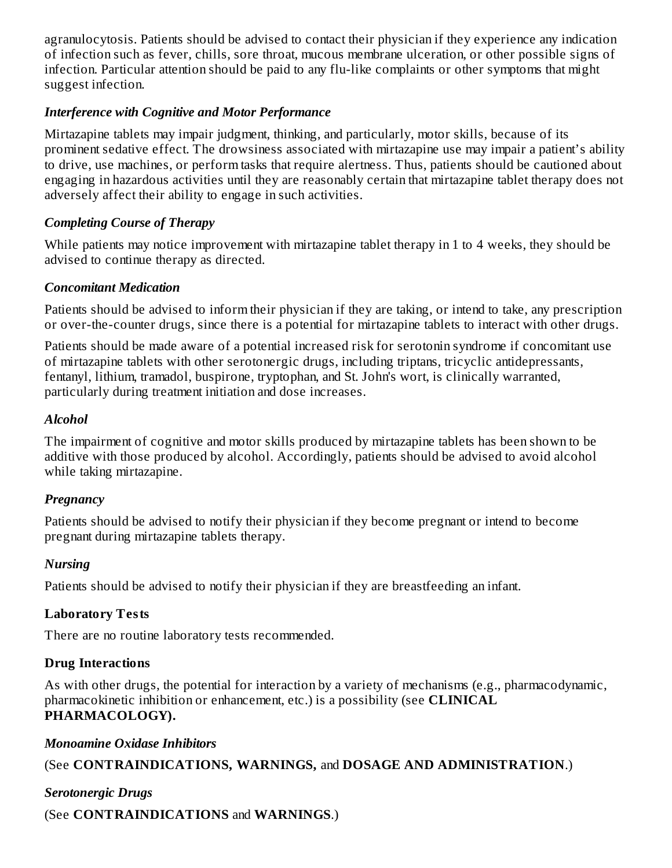agranulocytosis. Patients should be advised to contact their physician if they experience any indication of infection such as fever, chills, sore throat, mucous membrane ulceration, or other possible signs of infection. Particular attention should be paid to any flu-like complaints or other symptoms that might suggest infection.

#### *Interference with Cognitive and Motor Performance*

Mirtazapine tablets may impair judgment, thinking, and particularly, motor skills, because of its prominent sedative effect. The drowsiness associated with mirtazapine use may impair a patient's ability to drive, use machines, or perform tasks that require alertness. Thus, patients should be cautioned about engaging in hazardous activities until they are reasonably certain that mirtazapine tablet therapy does not adversely affect their ability to engage in such activities.

#### *Completing Course of Therapy*

While patients may notice improvement with mirtazapine tablet therapy in 1 to 4 weeks, they should be advised to continue therapy as directed.

#### *Concomitant Medication*

Patients should be advised to inform their physician if they are taking, or intend to take, any prescription or over-the-counter drugs, since there is a potential for mirtazapine tablets to interact with other drugs.

Patients should be made aware of a potential increased risk for serotonin syndrome if concomitant use of mirtazapine tablets with other serotonergic drugs, including triptans, tricyclic antidepressants, fentanyl, lithium, tramadol, buspirone, tryptophan, and St. John's wort, is clinically warranted, particularly during treatment initiation and dose increases.

#### *Alcohol*

The impairment of cognitive and motor skills produced by mirtazapine tablets has been shown to be additive with those produced by alcohol. Accordingly, patients should be advised to avoid alcohol while taking mirtazapine.

#### *Pregnancy*

Patients should be advised to notify their physician if they become pregnant or intend to become pregnant during mirtazapine tablets therapy.

#### *Nursing*

Patients should be advised to notify their physician if they are breastfeeding an infant.

#### **Laboratory Tests**

There are no routine laboratory tests recommended.

### **Drug Interactions**

As with other drugs, the potential for interaction by a variety of mechanisms (e.g., pharmacodynamic, pharmacokinetic inhibition or enhancement, etc.) is a possibility (see **CLINICAL PHARMACOLOGY).**

#### *Monoamine Oxidase Inhibitors*

(See **CONTRAINDICATIONS, WARNINGS,** and **DOSAGE AND ADMINISTRATION**.)

### *Serotonergic Drugs*

(See **CONTRAINDICATIONS** and **WARNINGS**.)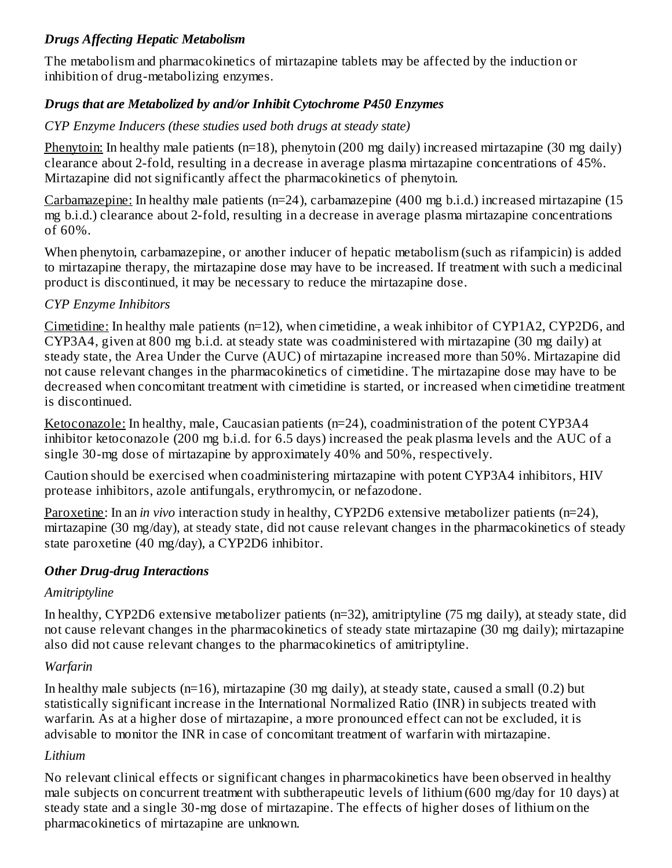### *Drugs Affecting Hepatic Metabolism*

The metabolism and pharmacokinetics of mirtazapine tablets may be affected by the induction or inhibition of drug-metabolizing enzymes.

### *Drugs that are Metabolized by and/or Inhibit Cytochrome P450 Enzymes*

#### *CYP Enzyme Inducers (these studies used both drugs at steady state)*

Phenytoin: In healthy male patients (n=18), phenytoin (200 mg daily) increased mirtazapine (30 mg daily) clearance about 2-fold, resulting in a decrease in average plasma mirtazapine concentrations of 45%. Mirtazapine did not significantly affect the pharmacokinetics of phenytoin.

Carbamazepine: In healthy male patients (n=24), carbamazepine (400 mg b.i.d.) increased mirtazapine (15 mg b.i.d.) clearance about 2-fold, resulting in a decrease in average plasma mirtazapine concentrations of 60%.

When phenytoin, carbamazepine, or another inducer of hepatic metabolism (such as rifampicin) is added to mirtazapine therapy, the mirtazapine dose may have to be increased. If treatment with such a medicinal product is discontinued, it may be necessary to reduce the mirtazapine dose.

#### *CYP Enzyme Inhibitors*

Cimetidine: In healthy male patients (n=12), when cimetidine, a weak inhibitor of CYP1A2, CYP2D6, and CYP3A4, given at 800 mg b.i.d. at steady state was coadministered with mirtazapine (30 mg daily) at steady state, the Area Under the Curve (AUC) of mirtazapine increased more than 50%. Mirtazapine did not cause relevant changes in the pharmacokinetics of cimetidine. The mirtazapine dose may have to be decreased when concomitant treatment with cimetidine is started, or increased when cimetidine treatment is discontinued.

Ketoconazole: In healthy, male, Caucasian patients (n=24), coadministration of the potent CYP3A4 inhibitor ketoconazole (200 mg b.i.d. for 6.5 days) increased the peak plasma levels and the AUC of a single 30-mg dose of mirtazapine by approximately 40% and 50%, respectively.

Caution should be exercised when coadministering mirtazapine with potent CYP3A4 inhibitors, HIV protease inhibitors, azole antifungals, erythromycin, or nefazodone.

Paroxetine: In an *in vivo* interaction study in healthy, CYP2D6 extensive metabolizer patients (n=24), mirtazapine (30 mg/day), at steady state, did not cause relevant changes in the pharmacokinetics of steady state paroxetine (40 mg/day), a CYP2D6 inhibitor.

### *Other Drug-drug Interactions*

### *Amitriptyline*

In healthy, CYP2D6 extensive metabolizer patients (n=32), amitriptyline (75 mg daily), at steady state, did not cause relevant changes in the pharmacokinetics of steady state mirtazapine (30 mg daily); mirtazapine also did not cause relevant changes to the pharmacokinetics of amitriptyline.

### *Warfarin*

In healthy male subjects (n=16), mirtazapine (30 mg daily), at steady state, caused a small (0.2) but statistically significant increase in the International Normalized Ratio (INR) in subjects treated with warfarin. As at a higher dose of mirtazapine, a more pronounced effect can not be excluded, it is advisable to monitor the INR in case of concomitant treatment of warfarin with mirtazapine.

### *Lithium*

No relevant clinical effects or significant changes in pharmacokinetics have been observed in healthy male subjects on concurrent treatment with subtherapeutic levels of lithium (600 mg/day for 10 days) at steady state and a single 30-mg dose of mirtazapine. The effects of higher doses of lithium on the pharmacokinetics of mirtazapine are unknown.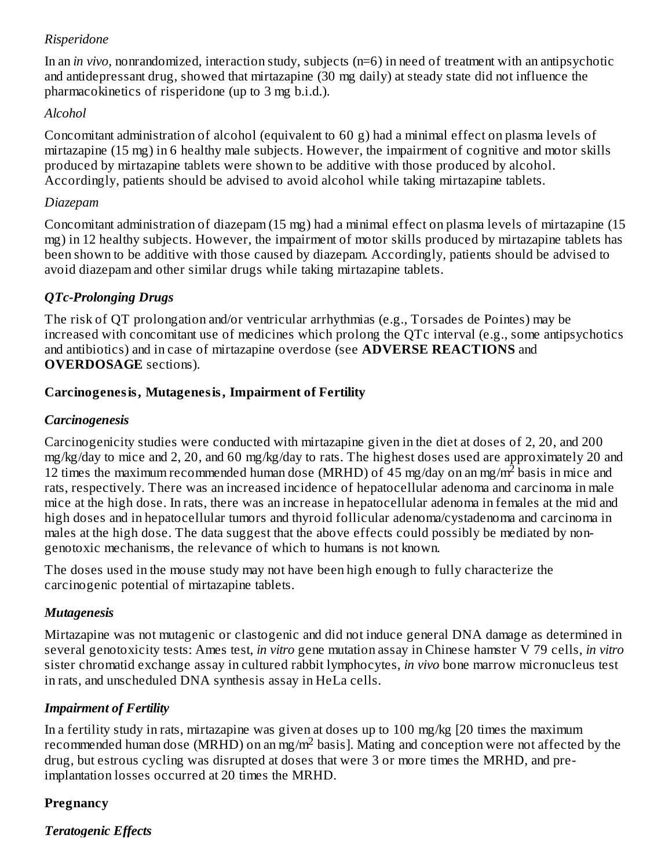### *Risperidone*

In an *in vivo*, nonrandomized, interaction study, subjects (n=6) in need of treatment with an antipsychotic and antidepressant drug, showed that mirtazapine (30 mg daily) at steady state did not influence the pharmacokinetics of risperidone (up to 3 mg b.i.d.).

### *Alcohol*

Concomitant administration of alcohol (equivalent to 60 g) had a minimal effect on plasma levels of mirtazapine (15 mg) in 6 healthy male subjects. However, the impairment of cognitive and motor skills produced by mirtazapine tablets were shown to be additive with those produced by alcohol. Accordingly, patients should be advised to avoid alcohol while taking mirtazapine tablets.

### *Diazepam*

Concomitant administration of diazepam (15 mg) had a minimal effect on plasma levels of mirtazapine (15 mg) in 12 healthy subjects. However, the impairment of motor skills produced by mirtazapine tablets has been shown to be additive with those caused by diazepam. Accordingly, patients should be advised to avoid diazepam and other similar drugs while taking mirtazapine tablets.

### *QTc-Prolonging Drugs*

The risk of QT prolongation and/or ventricular arrhythmias (e.g., Torsades de Pointes) may be increased with concomitant use of medicines which prolong the QTc interval (e.g., some antipsychotics and antibiotics) and in case of mirtazapine overdose (see **ADVERSE REACTIONS** and **OVERDOSAGE** sections).

### **Carcinogenesis, Mutagenesis, Impairment of Fertility**

### *Carcinogenesis*

Carcinogenicity studies were conducted with mirtazapine given in the diet at doses of 2, 20, and 200 mg/kg/day to mice and 2, 20, and 60 mg/kg/day to rats. The highest doses used are approximately 20 and 12 times the maximum recommended human dose (MRHD) of 45 mg/day on an mg/m<sup>2</sup> basis in mice and rats, respectively. There was an increased incidence of hepatocellular adenoma and carcinoma in male mice at the high dose. In rats, there was an increase in hepatocellular adenoma in females at the mid and high doses and in hepatocellular tumors and thyroid follicular adenoma/cystadenoma and carcinoma in males at the high dose. The data suggest that the above effects could possibly be mediated by nongenotoxic mechanisms, the relevance of which to humans is not known.

The doses used in the mouse study may not have been high enough to fully characterize the carcinogenic potential of mirtazapine tablets.

#### *Mutagenesis*

Mirtazapine was not mutagenic or clastogenic and did not induce general DNA damage as determined in several genotoxicity tests: Ames test, *in vitro* gene mutation assay in Chinese hamster V 79 cells, *in vitro* sister chromatid exchange assay in cultured rabbit lymphocytes, *in vivo* bone marrow micronucleus test in rats, and unscheduled DNA synthesis assay in HeLa cells.

### *Impairment of Fertility*

In a fertility study in rats, mirtazapine was given at doses up to 100 mg/kg [20 times the maximum recommended human dose (MRHD) on an mg/m<sup>2</sup> basis]. Mating and conception were not affected by the drug, but estrous cycling was disrupted at doses that were 3 or more times the MRHD, and preimplantation losses occurred at 20 times the MRHD.

### **Pregnancy**

#### *Teratogenic Effects*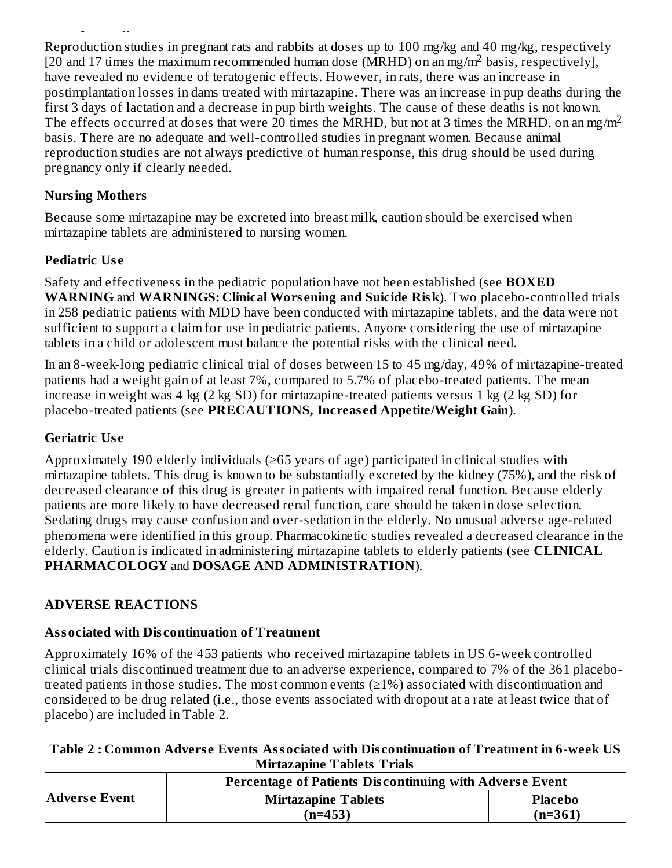Reproduction studies in pregnant rats and rabbits at doses up to 100 mg/kg and 40 mg/kg, respectively [20 and 17 times the maximum recommended human dose (MRHD) on an mg/m<sup>2</sup> basis, respectively], have revealed no evidence of teratogenic effects. However, in rats, there was an increase in postimplantation losses in dams treated with mirtazapine. There was an increase in pup deaths during the first 3 days of lactation and a decrease in pup birth weights. The cause of these deaths is not known. The effects occurred at doses that were 20 times the MRHD, but not at 3 times the MRHD, on an mg/m<sup>2</sup> basis. There are no adequate and well-controlled studies in pregnant women. Because animal reproduction studies are not always predictive of human response, this drug should be used during pregnancy only if clearly needed.

### **Nursing Mothers**

*Teratogenic Effects*

Because some mirtazapine may be excreted into breast milk, caution should be exercised when mirtazapine tablets are administered to nursing women.

### **Pediatric Us e**

Safety and effectiveness in the pediatric population have not been established (see **BOXED WARNING** and **WARNINGS: Clinical Wors ening and Suicide Risk**). Two placebo-controlled trials in 258 pediatric patients with MDD have been conducted with mirtazapine tablets, and the data were not sufficient to support a claim for use in pediatric patients. Anyone considering the use of mirtazapine tablets in a child or adolescent must balance the potential risks with the clinical need.

In an 8-week-long pediatric clinical trial of doses between 15 to 45 mg/day, 49% of mirtazapine-treated patients had a weight gain of at least 7%, compared to 5.7% of placebo-treated patients. The mean increase in weight was 4 kg (2 kg SD) for mirtazapine-treated patients versus 1 kg (2 kg SD) for placebo-treated patients (see **PRECAUTIONS, Increas ed Appetite/Weight Gain**).

### **Geriatric Us e**

Approximately 190 elderly individuals (≥65 years of age) participated in clinical studies with mirtazapine tablets. This drug is known to be substantially excreted by the kidney (75%), and the risk of decreased clearance of this drug is greater in patients with impaired renal function. Because elderly patients are more likely to have decreased renal function, care should be taken in dose selection. Sedating drugs may cause confusion and over-sedation in the elderly. No unusual adverse age-related phenomena were identified in this group. Pharmacokinetic studies revealed a decreased clearance in the elderly. Caution is indicated in administering mirtazapine tablets to elderly patients (see **CLINICAL PHARMACOLOGY** and **DOSAGE AND ADMINISTRATION**).

### **ADVERSE REACTIONS**

### **Associated with Dis continuation of Treatment**

Approximately 16% of the 453 patients who received mirtazapine tablets in US 6-week controlled clinical trials discontinued treatment due to an adverse experience, compared to 7% of the 361 placebotreated patients in those studies. The most common events (≥1%) associated with discontinuation and considered to be drug related (i.e., those events associated with dropout at a rate at least twice that of placebo) are included in Table 2.

| $\mid$ Table 2 : Common Adverse Events Associated with Discontinuation of Treatment in 6-week US |                                                         |                |  |  |  |  |
|--------------------------------------------------------------------------------------------------|---------------------------------------------------------|----------------|--|--|--|--|
|                                                                                                  | <b>Mirtazapine Tablets Trials</b>                       |                |  |  |  |  |
|                                                                                                  | Percentage of Patients Discontinuing with Adverse Event |                |  |  |  |  |
| <b>Adverse Event</b>                                                                             | <b>Mirtazapine Tablets</b>                              | <b>Placebo</b> |  |  |  |  |
|                                                                                                  | $(n=453)$                                               | $(n=361)$      |  |  |  |  |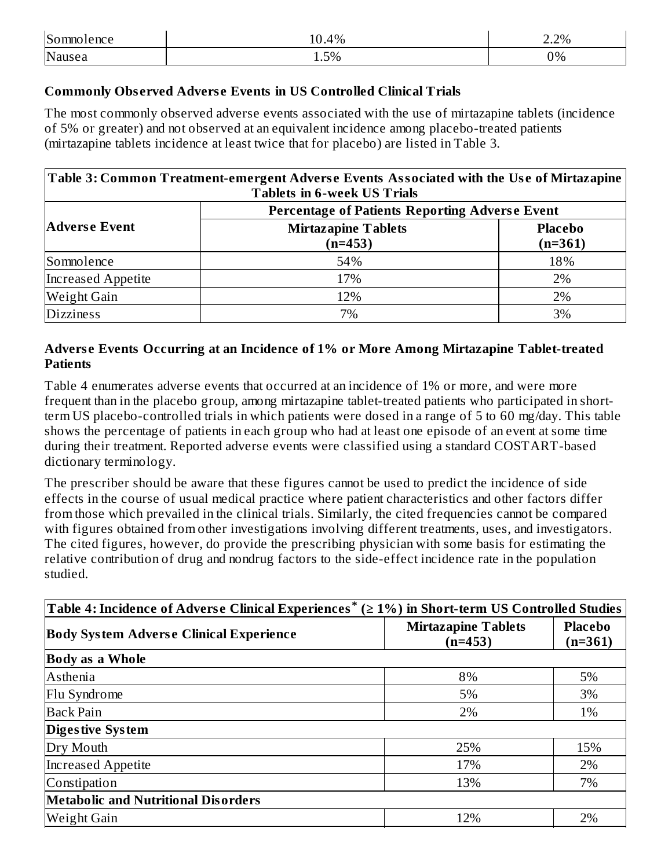| Son<br>. . | $\Lambda$ $\Omega$          | 20 <sub>6</sub><br>$- \cdot -$ |
|------------|-----------------------------|--------------------------------|
| N.         | $-\circ$<br>v<br>-<br>1.J/V | 00.<br>70                      |

#### **Commonly Obs erved Advers e Events in US Controlled Clinical Trials**

The most commonly observed adverse events associated with the use of mirtazapine tablets (incidence of 5% or greater) and not observed at an equivalent incidence among placebo-treated patients (mirtazapine tablets incidence at least twice that for placebo) are listed in Table 3.

| Table 3: Common Treatment-emergent Adverse Events Associated with the Use of Mirtazapine<br><b>Tablets in 6-week US Trials</b> |                                                       |                             |  |  |  |
|--------------------------------------------------------------------------------------------------------------------------------|-------------------------------------------------------|-----------------------------|--|--|--|
|                                                                                                                                | <b>Percentage of Patients Reporting Adverse Event</b> |                             |  |  |  |
| <b>Adverse Event</b>                                                                                                           | <b>Mirtazapine Tablets</b><br>$(n=453)$               | <b>Placebo</b><br>$(n=361)$ |  |  |  |
| Somnolence                                                                                                                     | 54%                                                   | 18%                         |  |  |  |
| <b>Increased Appetite</b>                                                                                                      | 17%                                                   | 2%                          |  |  |  |
| Weight Gain                                                                                                                    | 12%                                                   | 2%                          |  |  |  |
| <b>Dizziness</b>                                                                                                               | 7%                                                    | 3%                          |  |  |  |

#### **Advers e Events Occurring at an Incidence of 1% or More Among Mirtazapine Tablet-treated Patients**

Table 4 enumerates adverse events that occurred at an incidence of 1% or more, and were more frequent than in the placebo group, among mirtazapine tablet-treated patients who participated in shortterm US placebo-controlled trials in which patients were dosed in a range of 5 to 60 mg/day. This table shows the percentage of patients in each group who had at least one episode of an event at some time during their treatment. Reported adverse events were classified using a standard COSTART-based dictionary terminology.

The prescriber should be aware that these figures cannot be used to predict the incidence of side effects in the course of usual medical practice where patient characteristics and other factors differ from those which prevailed in the clinical trials. Similarly, the cited frequencies cannot be compared with figures obtained from other investigations involving different treatments, uses, and investigators. The cited figures, however, do provide the prescribing physician with some basis for estimating the relative contribution of drug and nondrug factors to the side-effect incidence rate in the population studied.

| Table 4: Incidence of Adverse Clinical Experiences $^*$ ( $\geq 1\%$ ) in Short-term US Controlled Studies |                                         |                           |  |  |
|------------------------------------------------------------------------------------------------------------|-----------------------------------------|---------------------------|--|--|
| <b>Body System Adverse Clinical Experience</b>                                                             | <b>Mirtazapine Tablets</b><br>$(n=453)$ | <b>Placebo</b><br>(n=361) |  |  |
| <b>Body as a Whole</b>                                                                                     |                                         |                           |  |  |
| Asthenia                                                                                                   | 8%                                      | 5%                        |  |  |
| Flu Syndrome                                                                                               | 5%                                      | 3%                        |  |  |
| <b>Back Pain</b>                                                                                           | 2%                                      | 1%                        |  |  |
| Diges tive System                                                                                          |                                         |                           |  |  |
| Dry Mouth                                                                                                  | 25%                                     | 15%                       |  |  |
| <b>Increased Appetite</b>                                                                                  | 17%                                     | 2%                        |  |  |
| Constipation                                                                                               | 13%                                     | 7%                        |  |  |
| <b>Metabolic and Nutritional Disorders</b>                                                                 |                                         |                           |  |  |
| Weight Gain                                                                                                | 12%                                     | 2%                        |  |  |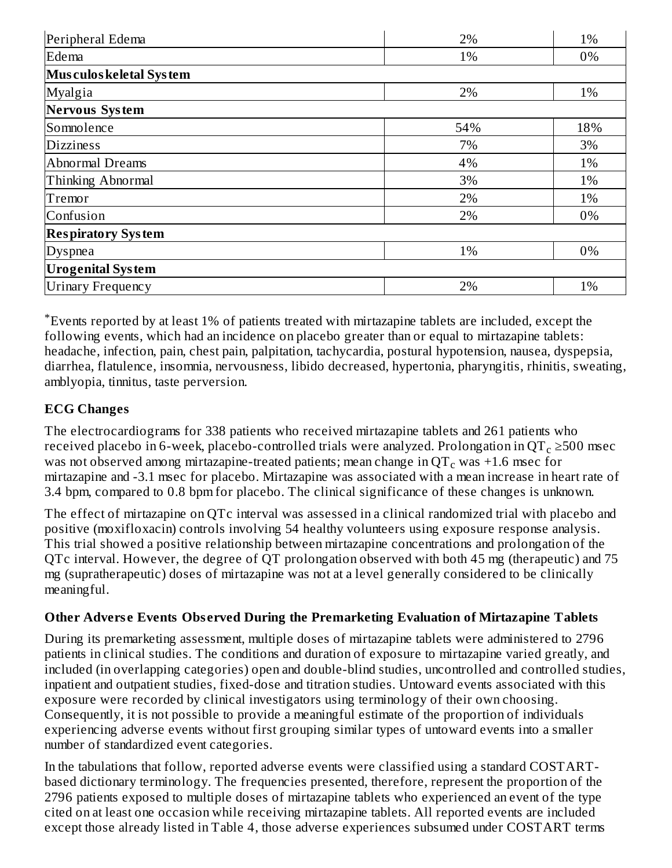| Peripheral Edema          | 2%  | 1%  |
|---------------------------|-----|-----|
| Edema                     | 1%  | 0%  |
| Musculos keletal System   |     |     |
| Myalgia                   | 2%  | 1%  |
| <b>Nervous System</b>     |     |     |
| Somnolence                | 54% | 18% |
| <b>Dizziness</b>          | 7%  | 3%  |
| Abnormal Dreams           | 4%  | 1%  |
| Thinking Abnormal         | 3%  | 1%  |
| Tremor                    | 2%  | 1%  |
| Confusion                 | 2%  | 0%  |
| <b>Respiratory System</b> |     |     |
| Dyspnea                   | 1%  | 0%  |
| <b>Urogenital System</b>  |     |     |
| <b>Urinary Frequency</b>  | 2%  | 1%  |

Events reported by at least 1% of patients treated with mirtazapine tablets are included, except the \* following events, which had an incidence on placebo greater than or equal to mirtazapine tablets: headache, infection, pain, chest pain, palpitation, tachycardia, postural hypotension, nausea, dyspepsia, diarrhea, flatulence, insomnia, nervousness, libido decreased, hypertonia, pharyngitis, rhinitis, sweating, amblyopia, tinnitus, taste perversion.

### **ECG Changes**

The electrocardiograms for 338 patients who received mirtazapine tablets and 261 patients who received placebo in 6-week, placebo-controlled trials were analyzed. Prolongation in QT $_{\rm c}$   $\geq$ 500 msec was not observed among mirtazapine-treated patients; mean change in  $\mathrm{QT_c}$  was +1.6 msec for mirtazapine and -3.1 msec for placebo. Mirtazapine was associated with a mean increase in heart rate of 3.4 bpm, compared to 0.8 bpm for placebo. The clinical significance of these changes is unknown.

The effect of mirtazapine on QTc interval was assessed in a clinical randomized trial with placebo and positive (moxifloxacin) controls involving 54 healthy volunteers using exposure response analysis. This trial showed a positive relationship between mirtazapine concentrations and prolongation of the QTc interval. However, the degree of QT prolongation observed with both 45 mg (therapeutic) and 75 mg (supratherapeutic) doses of mirtazapine was not at a level generally considered to be clinically meaningful.

#### **Other Advers e Events Obs erved During the Premarketing Evaluation of Mirtazapine Tablets**

During its premarketing assessment, multiple doses of mirtazapine tablets were administered to 2796 patients in clinical studies. The conditions and duration of exposure to mirtazapine varied greatly, and included (in overlapping categories) open and double-blind studies, uncontrolled and controlled studies, inpatient and outpatient studies, fixed-dose and titration studies. Untoward events associated with this exposure were recorded by clinical investigators using terminology of their own choosing. Consequently, it is not possible to provide a meaningful estimate of the proportion of individuals experiencing adverse events without first grouping similar types of untoward events into a smaller number of standardized event categories.

In the tabulations that follow, reported adverse events were classified using a standard COSTARTbased dictionary terminology. The frequencies presented, therefore, represent the proportion of the 2796 patients exposed to multiple doses of mirtazapine tablets who experienced an event of the type cited on at least one occasion while receiving mirtazapine tablets. All reported events are included except those already listed in Table 4, those adverse experiences subsumed under COSTART terms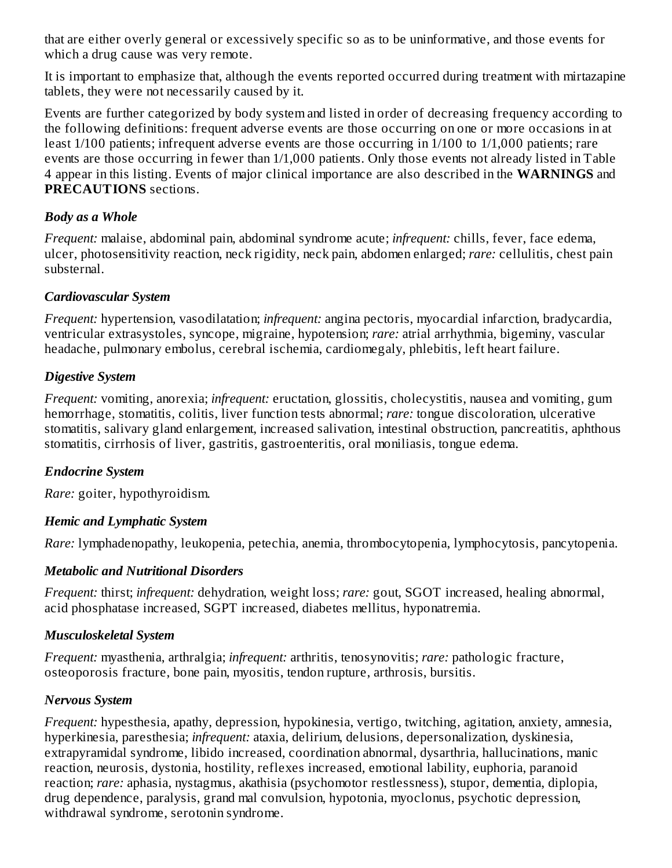that are either overly general or excessively specific so as to be uninformative, and those events for which a drug cause was very remote.

It is important to emphasize that, although the events reported occurred during treatment with mirtazapine tablets, they were not necessarily caused by it.

Events are further categorized by body system and listed in order of decreasing frequency according to the following definitions: frequent adverse events are those occurring on one or more occasions in at least 1/100 patients; infrequent adverse events are those occurring in 1/100 to 1/1,000 patients; rare events are those occurring in fewer than 1/1,000 patients. Only those events not already listed in Table 4 appear in this listing. Events of major clinical importance are also described in the **WARNINGS** and **PRECAUTIONS** sections.

#### *Body as a Whole*

*Frequent:* malaise, abdominal pain, abdominal syndrome acute; *infrequent:* chills, fever, face edema, ulcer, photosensitivity reaction, neck rigidity, neck pain, abdomen enlarged; *rare:* cellulitis, chest pain substernal.

#### *Cardiovascular System*

*Frequent:* hypertension, vasodilatation; *infrequent:* angina pectoris, myocardial infarction, bradycardia, ventricular extrasystoles, syncope, migraine, hypotension; *rare:* atrial arrhythmia, bigeminy, vascular headache, pulmonary embolus, cerebral ischemia, cardiomegaly, phlebitis, left heart failure.

### *Digestive System*

*Frequent:* vomiting, anorexia; *infrequent:* eructation, glossitis, cholecystitis, nausea and vomiting, gum hemorrhage, stomatitis, colitis, liver function tests abnormal; *rare:* tongue discoloration, ulcerative stomatitis, salivary gland enlargement, increased salivation, intestinal obstruction, pancreatitis, aphthous stomatitis, cirrhosis of liver, gastritis, gastroenteritis, oral moniliasis, tongue edema.

#### *Endocrine System*

*Rare:* goiter, hypothyroidism.

#### *Hemic and Lymphatic System*

*Rare:* lymphadenopathy, leukopenia, petechia, anemia, thrombocytopenia, lymphocytosis, pancytopenia.

### *Metabolic and Nutritional Disorders*

*Frequent:* thirst; *infrequent:* dehydration, weight loss; *rare:* gout, SGOT increased, healing abnormal, acid phosphatase increased, SGPT increased, diabetes mellitus, hyponatremia.

#### *Musculoskeletal System*

*Frequent:* myasthenia, arthralgia; *infrequent:* arthritis, tenosynovitis; *rare:* pathologic fracture, osteoporosis fracture, bone pain, myositis, tendon rupture, arthrosis, bursitis.

#### *Nervous System*

*Frequent:* hypesthesia, apathy, depression, hypokinesia, vertigo, twitching, agitation, anxiety, amnesia, hyperkinesia, paresthesia; *infrequent:* ataxia, delirium, delusions, depersonalization, dyskinesia, extrapyramidal syndrome, libido increased, coordination abnormal, dysarthria, hallucinations, manic reaction, neurosis, dystonia, hostility, reflexes increased, emotional lability, euphoria, paranoid reaction; *rare:* aphasia, nystagmus, akathisia (psychomotor restlessness), stupor, dementia, diplopia, drug dependence, paralysis, grand mal convulsion, hypotonia, myoclonus, psychotic depression, withdrawal syndrome, serotonin syndrome.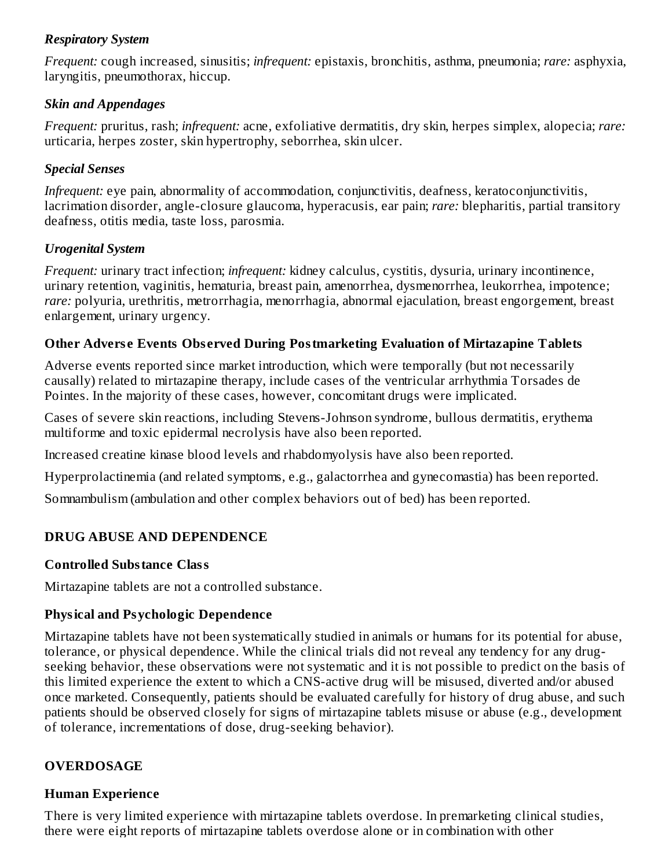#### *Respiratory System*

*Frequent:* cough increased, sinusitis; *infrequent:* epistaxis, bronchitis, asthma, pneumonia; *rare:* asphyxia, laryngitis, pneumothorax, hiccup.

#### *Skin and Appendages*

*Frequent:* pruritus, rash; *infrequent:* acne, exfoliative dermatitis, dry skin, herpes simplex, alopecia; *rare:* urticaria, herpes zoster, skin hypertrophy, seborrhea, skin ulcer.

### *Special Senses*

*Infrequent:* eye pain, abnormality of accommodation, conjunctivitis, deafness, keratoconjunctivitis, lacrimation disorder, angle-closure glaucoma, hyperacusis, ear pain; *rare:* blepharitis, partial transitory deafness, otitis media, taste loss, parosmia.

#### *Urogenital System*

*Frequent:* urinary tract infection; *infrequent:* kidney calculus, cystitis, dysuria, urinary incontinence, urinary retention, vaginitis, hematuria, breast pain, amenorrhea, dysmenorrhea, leukorrhea, impotence; *rare:* polyuria, urethritis, metrorrhagia, menorrhagia, abnormal ejaculation, breast engorgement, breast enlargement, urinary urgency.

### **Other Advers e Events Obs erved During Postmarketing Evaluation of Mirtazapine Tablets**

Adverse events reported since market introduction, which were temporally (but not necessarily causally) related to mirtazapine therapy, include cases of the ventricular arrhythmia Torsades de Pointes. In the majority of these cases, however, concomitant drugs were implicated.

Cases of severe skin reactions, including Stevens-Johnson syndrome, bullous dermatitis, erythema multiforme and toxic epidermal necrolysis have also been reported.

Increased creatine kinase blood levels and rhabdomyolysis have also been reported.

Hyperprolactinemia (and related symptoms, e.g., galactorrhea and gynecomastia) has been reported.

Somnambulism (ambulation and other complex behaviors out of bed) has been reported.

### **DRUG ABUSE AND DEPENDENCE**

#### **Controlled Substance Class**

Mirtazapine tablets are not a controlled substance.

### **Physical and Psychologic Dependence**

Mirtazapine tablets have not been systematically studied in animals or humans for its potential for abuse, tolerance, or physical dependence. While the clinical trials did not reveal any tendency for any drugseeking behavior, these observations were not systematic and it is not possible to predict on the basis of this limited experience the extent to which a CNS-active drug will be misused, diverted and/or abused once marketed. Consequently, patients should be evaluated carefully for history of drug abuse, and such patients should be observed closely for signs of mirtazapine tablets misuse or abuse (e.g., development of tolerance, incrementations of dose, drug-seeking behavior).

### **OVERDOSAGE**

### **Human Experience**

There is very limited experience with mirtazapine tablets overdose. In premarketing clinical studies, there were eight reports of mirtazapine tablets overdose alone or in combination with other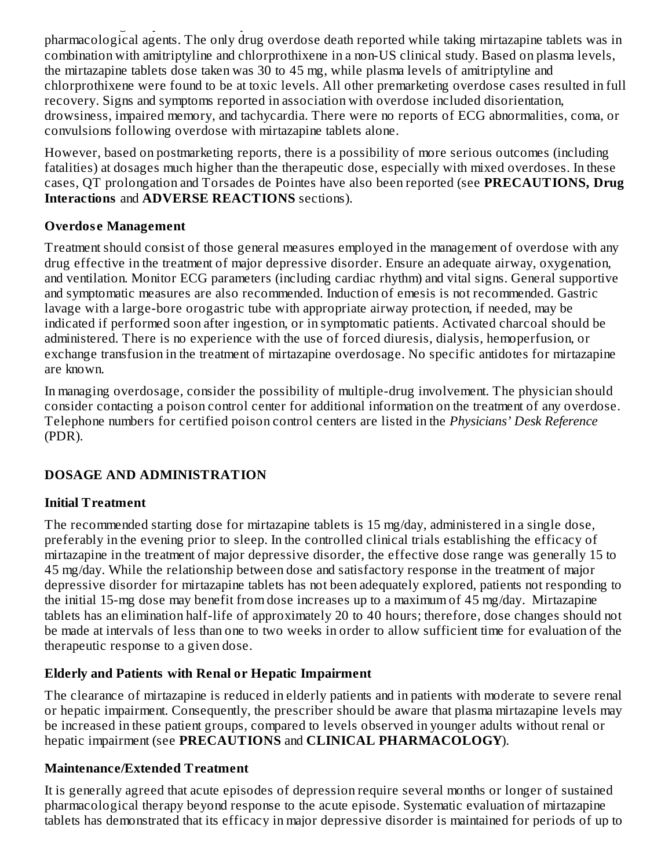there were eight reports of mirtazapine tablets overdose alone or in combination with other pharmacological agents. The only drug overdose death reported while taking mirtazapine tablets was in combination with amitriptyline and chlorprothixene in a non-US clinical study. Based on plasma levels, the mirtazapine tablets dose taken was 30 to 45 mg, while plasma levels of amitriptyline and chlorprothixene were found to be at toxic levels. All other premarketing overdose cases resulted in full recovery. Signs and symptoms reported in association with overdose included disorientation, drowsiness, impaired memory, and tachycardia. There were no reports of ECG abnormalities, coma, or convulsions following overdose with mirtazapine tablets alone.

However, based on postmarketing reports, there is a possibility of more serious outcomes (including fatalities) at dosages much higher than the therapeutic dose, especially with mixed overdoses. In these cases, QT prolongation and Torsades de Pointes have also been reported (see **PRECAUTIONS, Drug Interactions** and **ADVERSE REACTIONS** sections).

### **Overdos e Management**

Treatment should consist of those general measures employed in the management of overdose with any drug effective in the treatment of major depressive disorder. Ensure an adequate airway, oxygenation, and ventilation. Monitor ECG parameters (including cardiac rhythm) and vital signs. General supportive and symptomatic measures are also recommended. Induction of emesis is not recommended. Gastric lavage with a large-bore orogastric tube with appropriate airway protection, if needed, may be indicated if performed soon after ingestion, or in symptomatic patients. Activated charcoal should be administered. There is no experience with the use of forced diuresis, dialysis, hemoperfusion, or exchange transfusion in the treatment of mirtazapine overdosage. No specific antidotes for mirtazapine are known.

In managing overdosage, consider the possibility of multiple-drug involvement. The physician should consider contacting a poison control center for additional information on the treatment of any overdose. Telephone numbers for certified poison control centers are listed in the *Physicians' Desk Reference* (PDR).

### **DOSAGE AND ADMINISTRATION**

### **Initial Treatment**

The recommended starting dose for mirtazapine tablets is 15 mg/day, administered in a single dose, preferably in the evening prior to sleep. In the controlled clinical trials establishing the efficacy of mirtazapine in the treatment of major depressive disorder, the effective dose range was generally 15 to 45 mg/day. While the relationship between dose and satisfactory response in the treatment of major depressive disorder for mirtazapine tablets has not been adequately explored, patients not responding to the initial 15-mg dose may benefit from dose increases up to a maximum of 45 mg/day. Mirtazapine tablets has an elimination half-life of approximately 20 to 40 hours; therefore, dose changes should not be made at intervals of less than one to two weeks in order to allow sufficient time for evaluation of the therapeutic response to a given dose.

### **Elderly and Patients with Renal or Hepatic Impairment**

The clearance of mirtazapine is reduced in elderly patients and in patients with moderate to severe renal or hepatic impairment. Consequently, the prescriber should be aware that plasma mirtazapine levels may be increased in these patient groups, compared to levels observed in younger adults without renal or hepatic impairment (see **PRECAUTIONS** and **CLINICAL PHARMACOLOGY**).

### **Maintenance/Extended Treatment**

It is generally agreed that acute episodes of depression require several months or longer of sustained pharmacological therapy beyond response to the acute episode. Systematic evaluation of mirtazapine tablets has demonstrated that its efficacy in major depressive disorder is maintained for periods of up to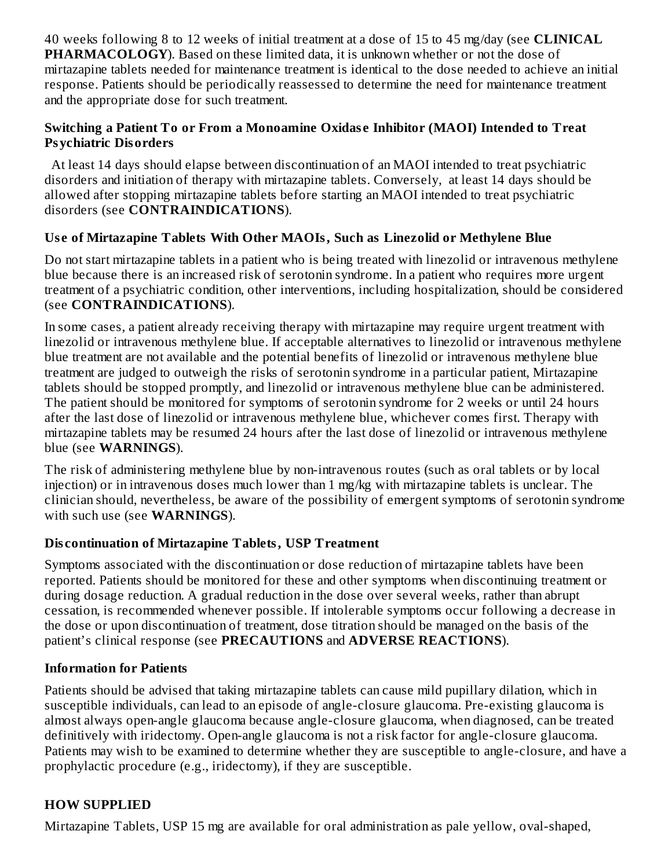40 weeks following 8 to 12 weeks of initial treatment at a dose of 15 to 45 mg/day (see **CLINICAL PHARMACOLOGY**). Based on these limited data, it is unknown whether or not the dose of mirtazapine tablets needed for maintenance treatment is identical to the dose needed to achieve an initial response. Patients should be periodically reassessed to determine the need for maintenance treatment and the appropriate dose for such treatment.

#### **Switching a Patient To or From a Monoamine Oxidas e Inhibitor (MAOI) Intended to Treat Psychiatric Disorders**

At least 14 days should elapse between discontinuation of an MAOI intended to treat psychiatric disorders and initiation of therapy with mirtazapine tablets. Conversely, at least 14 days should be allowed after stopping mirtazapine tablets before starting an MAOI intended to treat psychiatric disorders (see **CONTRAINDICATIONS**).

### **Us e of Mirtazapine Tablets With Other MAOIs, Such as Linezolid or Methylene Blue**

Do not start mirtazapine tablets in a patient who is being treated with linezolid or intravenous methylene blue because there is an increased risk of serotonin syndrome. In a patient who requires more urgent treatment of a psychiatric condition, other interventions, including hospitalization, should be considered (see **CONTRAINDICATIONS**).

In some cases, a patient already receiving therapy with mirtazapine may require urgent treatment with linezolid or intravenous methylene blue. If acceptable alternatives to linezolid or intravenous methylene blue treatment are not available and the potential benefits of linezolid or intravenous methylene blue treatment are judged to outweigh the risks of serotonin syndrome in a particular patient, Mirtazapine tablets should be stopped promptly, and linezolid or intravenous methylene blue can be administered. The patient should be monitored for symptoms of serotonin syndrome for 2 weeks or until 24 hours after the last dose of linezolid or intravenous methylene blue, whichever comes first. Therapy with mirtazapine tablets may be resumed 24 hours after the last dose of linezolid or intravenous methylene blue (see **WARNINGS**).

The risk of administering methylene blue by non-intravenous routes (such as oral tablets or by local injection) or in intravenous doses much lower than 1 mg/kg with mirtazapine tablets is unclear. The clinician should, nevertheless, be aware of the possibility of emergent symptoms of serotonin syndrome with such use (see **WARNINGS**).

### **Dis continuation of Mirtazapine Tablets, USP Treatment**

Symptoms associated with the discontinuation or dose reduction of mirtazapine tablets have been reported. Patients should be monitored for these and other symptoms when discontinuing treatment or during dosage reduction. A gradual reduction in the dose over several weeks, rather than abrupt cessation, is recommended whenever possible. If intolerable symptoms occur following a decrease in the dose or upon discontinuation of treatment, dose titration should be managed on the basis of the patient's clinical response (see **PRECAUTIONS** and **ADVERSE REACTIONS**).

### **Information for Patients**

Patients should be advised that taking mirtazapine tablets can cause mild pupillary dilation, which in susceptible individuals, can lead to an episode of angle-closure glaucoma. Pre-existing glaucoma is almost always open-angle glaucoma because angle-closure glaucoma, when diagnosed, can be treated definitively with iridectomy. Open-angle glaucoma is not a risk factor for angle-closure glaucoma. Patients may wish to be examined to determine whether they are susceptible to angle-closure, and have a prophylactic procedure (e.g., iridectomy), if they are susceptible.

## **HOW SUPPLIED**

Mirtazapine Tablets, USP 15 mg are available for oral administration as pale yellow, oval-shaped,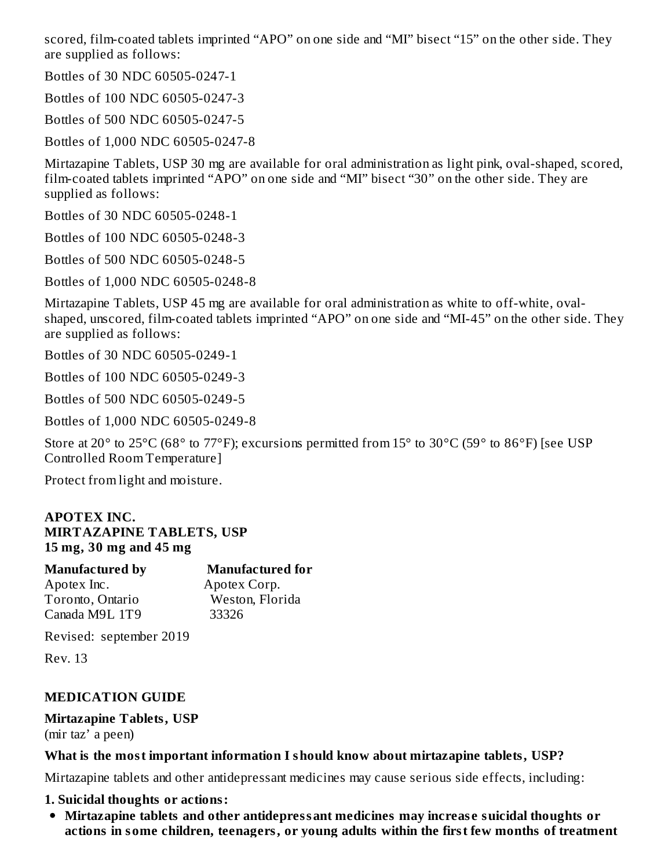scored, film-coated tablets imprinted "APO" on one side and "MI" bisect "15" on the other side. They are supplied as follows:

Bottles of 30 NDC 60505-0247-1

Bottles of 100 NDC 60505-0247-3

Bottles of 500 NDC 60505-0247-5

Bottles of 1,000 NDC 60505-0247-8

Mirtazapine Tablets, USP 30 mg are available for oral administration as light pink, oval-shaped, scored, film-coated tablets imprinted "APO" on one side and "MI" bisect "30" on the other side. They are supplied as follows:

Bottles of 30 NDC 60505-0248-1

Bottles of 100 NDC 60505-0248-3

Bottles of 500 NDC 60505-0248-5

Bottles of 1,000 NDC 60505-0248-8

Mirtazapine Tablets, USP 45 mg are available for oral administration as white to off-white, ovalshaped, unscored, film-coated tablets imprinted "APO" on one side and "MI-45" on the other side. They are supplied as follows:

Bottles of 30 NDC 60505-0249-1

Bottles of 100 NDC 60505-0249-3

Bottles of 500 NDC 60505-0249-5

Bottles of 1,000 NDC 60505-0249-8

Store at 20° to 25°C (68° to 77°F); excursions permitted from 15° to 30°C (59° to 86°F) [see USP Controlled Room Temperature]

Protect from light and moisture.

#### **APOTEX INC. MIRTAZAPINE TABLETS, USP 15 mg, 30 mg and 45 mg**

| <b>Manufactured by</b> | <b>Manufactured for</b> |  |  |
|------------------------|-------------------------|--|--|
| Apotex Inc.            | Apotex Corp.            |  |  |
| Toronto, Ontario       | Weston, Florida         |  |  |
| Canada M9L 1T9         | 33326                   |  |  |
|                        |                         |  |  |

Revised: september 2019

Rev. 13

#### **MEDICATION GUIDE**

**Mirtazapine Tablets, USP** (mir taz' a peen)

#### **What is the most important information I should know about mirtazapine tablets, USP?**

Mirtazapine tablets and other antidepressant medicines may cause serious side effects, including:

#### **1. Suicidal thoughts or actions:**

**Mirtazapine tablets and other antidepressant medicines may increas e suicidal thoughts or actions in some children, teenagers, or young adults within the first few months of treatment**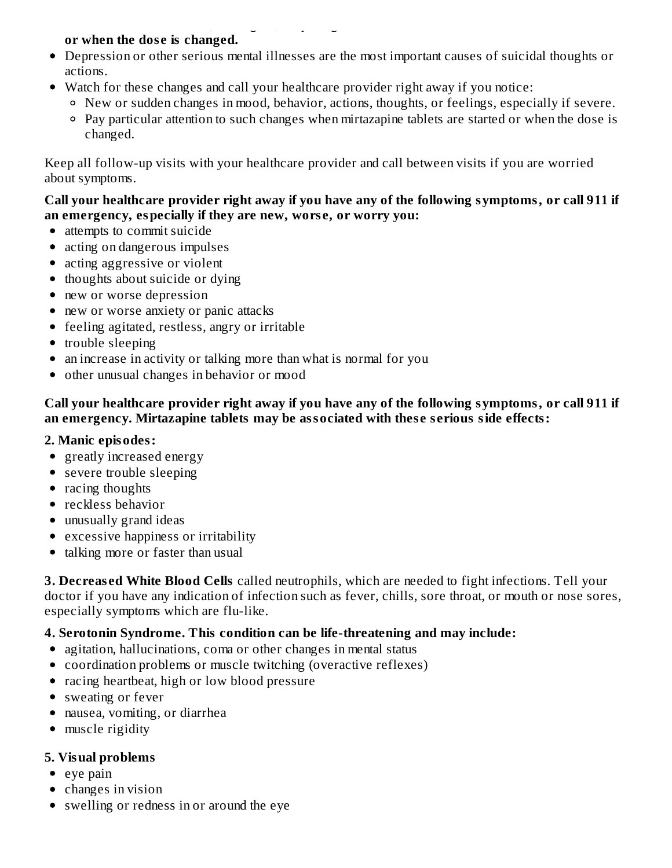#### **actions in some children, teenagers, or young adults within the first few months of treatment or when the dos e is changed.**

- Depression or other serious mental illnesses are the most important causes of suicidal thoughts or actions.
- Watch for these changes and call your healthcare provider right away if you notice:
	- New or sudden changes in mood, behavior, actions, thoughts, or feelings, especially if severe.
	- Pay particular attention to such changes when mirtazapine tablets are started or when the dose is changed.

Keep all follow-up visits with your healthcare provider and call between visits if you are worried about symptoms.

#### **Call your healthcare provider right away if you have any of the following symptoms, or call 911 if an emergency, especially if they are new, wors e, or worry you:**

- attempts to commit suicide
- acting on dangerous impulses
- acting aggressive or violent
- thoughts about suicide or dying
- new or worse depression
- new or worse anxiety or panic attacks
- feeling agitated, restless, angry or irritable
- trouble sleeping
- an increase in activity or talking more than what is normal for you
- other unusual changes in behavior or mood

### **Call your healthcare provider right away if you have any of the following symptoms, or call 911 if an emergency. Mirtazapine tablets may be associated with thes e s erious side effects:**

### **2. Manic episodes:**

- greatly increased energy
- severe trouble sleeping
- racing thoughts
- reckless behavior
- unusually grand ideas
- excessive happiness or irritability
- talking more or faster than usual

**3. Decreas ed White Blood Cells** called neutrophils, which are needed to fight infections. Tell your doctor if you have any indication of infection such as fever, chills, sore throat, or mouth or nose sores, especially symptoms which are flu-like.

#### **4. Serotonin Syndrome. This condition can be life-threatening and may include:**

- agitation, hallucinations, coma or other changes in mental status
- coordination problems or muscle twitching (overactive reflexes)
- racing heartbeat, high or low blood pressure
- sweating or fever
- nausea, vomiting, or diarrhea
- muscle rigidity

### **5. Visual problems**

- $\bullet$  eye pain
- changes in vision
- swelling or redness in or around the eye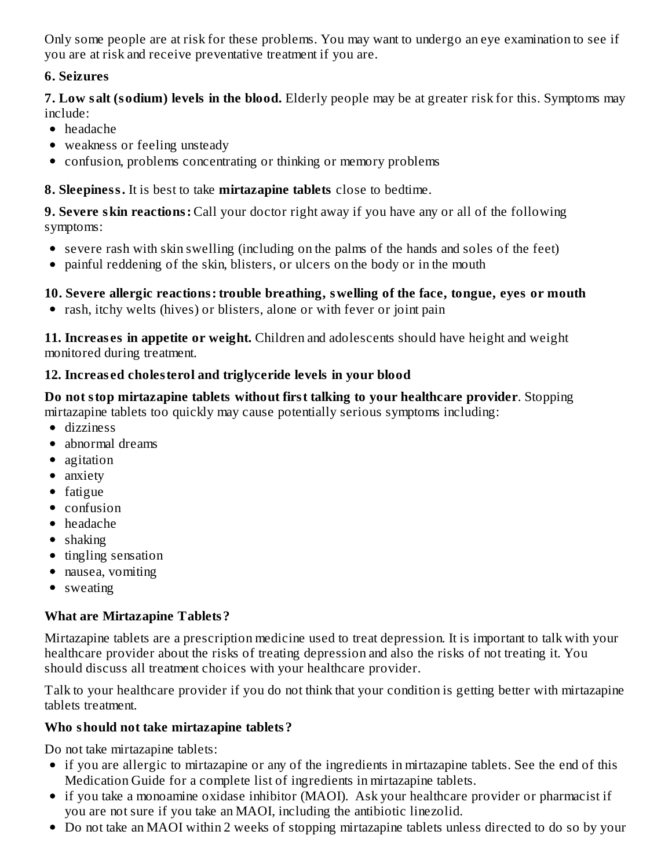Only some people are at risk for these problems. You may want to undergo an eye examination to see if you are at risk and receive preventative treatment if you are.

### **6. Seizures**

**7. Low salt (sodium) levels in the blood.** Elderly people may be at greater risk for this. Symptoms may include:

- headache
- weakness or feeling unsteady
- confusion, problems concentrating or thinking or memory problems

**8. Sleepiness.** It is best to take **mirtazapine tablets** close to bedtime.

**9. Severe skin reactions:** Call your doctor right away if you have any or all of the following symptoms:

- severe rash with skin swelling (including on the palms of the hands and soles of the feet)
- painful reddening of the skin, blisters, or ulcers on the body or in the mouth

### **10. Severe allergic reactions: trouble breathing, swelling of the face, tongue, eyes or mouth**

rash, itchy welts (hives) or blisters, alone or with fever or joint pain

**11. Increas es in appetite or weight.** Children and adolescents should have height and weight monitored during treatment.

### **12. Increas ed cholesterol and triglyceride levels in your blood**

**Do not stop mirtazapine tablets without first talking to your healthcare provider**. Stopping mirtazapine tablets too quickly may cause potentially serious symptoms including:

- dizziness
- abnormal dreams
- agitation
- anxiety
- fatigue
- confusion
- headache
- shaking
- $\bullet$  tingling sensation
- nausea, vomiting
- sweating

## **What are Mirtazapine Tablets?**

Mirtazapine tablets are a prescription medicine used to treat depression. It is important to talk with your healthcare provider about the risks of treating depression and also the risks of not treating it. You should discuss all treatment choices with your healthcare provider.

Talk to your healthcare provider if you do not think that your condition is getting better with mirtazapine tablets treatment.

### **Who should not take mirtazapine tablets?**

Do not take mirtazapine tablets:

- if you are allergic to mirtazapine or any of the ingredients in mirtazapine tablets. See the end of this Medication Guide for a complete list of ingredients in mirtazapine tablets.
- if you take a monoamine oxidase inhibitor (MAOI). Ask your healthcare provider or pharmacist if you are not sure if you take an MAOI, including the antibiotic linezolid.
- Do not take an MAOI within 2 weeks of stopping mirtazapine tablets unless directed to do so by your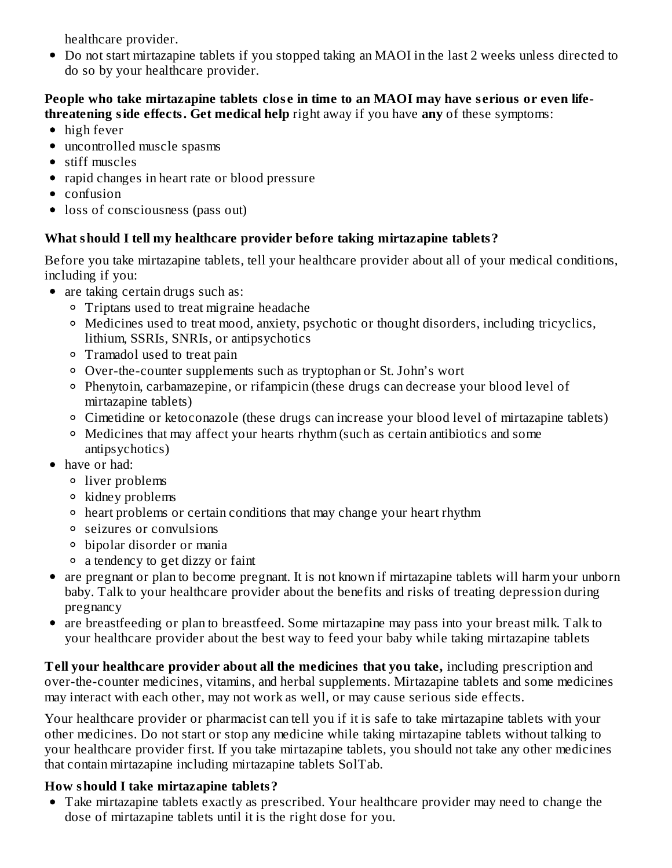healthcare provider.

Do not start mirtazapine tablets if you stopped taking an MAOI in the last 2 weeks unless directed to do so by your healthcare provider.

#### People who take mirtazapine tablets close in time to an MAOI may have serious or even life**threatening side effects. Get medical help** right away if you have **any** of these symptoms:

- high fever
- uncontrolled muscle spasms
- stiff muscles
- rapid changes in heart rate or blood pressure
- confusion
- loss of consciousness (pass out)

### **What should I tell my healthcare provider before taking mirtazapine tablets?**

Before you take mirtazapine tablets, tell your healthcare provider about all of your medical conditions, including if you:

- are taking certain drugs such as:
	- Triptans used to treat migraine headache
	- Medicines used to treat mood, anxiety, psychotic or thought disorders, including tricyclics, lithium, SSRIs, SNRIs, or antipsychotics
	- Tramadol used to treat pain
	- Over-the-counter supplements such as tryptophan or St. John's wort
	- Phenytoin, carbamazepine, or rifampicin (these drugs can decrease your blood level of mirtazapine tablets)
	- Cimetidine or ketoconazole (these drugs can increase your blood level of mirtazapine tablets)
	- Medicines that may affect your hearts rhythm (such as certain antibiotics and some antipsychotics)
- have or had:
	- liver problems
	- $\circ$  kidney problems
	- heart problems or certain conditions that may change your heart rhythm
	- seizures or convulsions
	- bipolar disorder or mania
	- a tendency to get dizzy or faint
- are pregnant or plan to become pregnant. It is not known if mirtazapine tablets will harm your unborn baby. Talk to your healthcare provider about the benefits and risks of treating depression during pregnancy
- are breastfeeding or plan to breastfeed. Some mirtazapine may pass into your breast milk. Talk to  $\bullet$ your healthcare provider about the best way to feed your baby while taking mirtazapine tablets

**Tell your healthcare provider about all the medicines that you take,** including prescription and over-the-counter medicines, vitamins, and herbal supplements. Mirtazapine tablets and some medicines may interact with each other, may not work as well, or may cause serious side effects.

Your healthcare provider or pharmacist can tell you if it is safe to take mirtazapine tablets with your other medicines. Do not start or stop any medicine while taking mirtazapine tablets without talking to your healthcare provider first. If you take mirtazapine tablets, you should not take any other medicines that contain mirtazapine including mirtazapine tablets SolTab.

## **How should I take mirtazapine tablets?**

Take mirtazapine tablets exactly as prescribed. Your healthcare provider may need to change the dose of mirtazapine tablets until it is the right dose for you.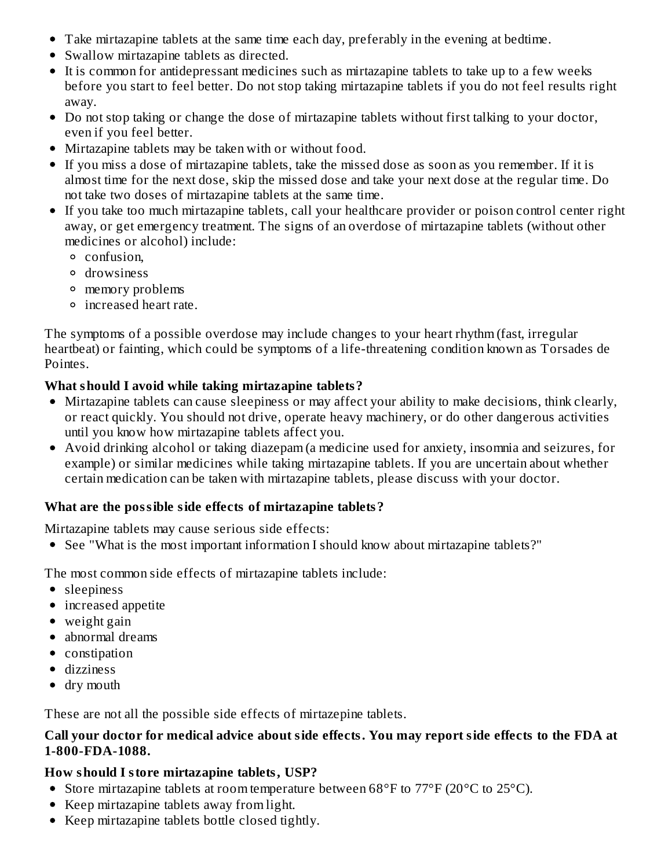- Take mirtazapine tablets at the same time each day, preferably in the evening at bedtime.
- Swallow mirtazapine tablets as directed.
- It is common for antidepressant medicines such as mirtazapine tablets to take up to a few weeks before you start to feel better. Do not stop taking mirtazapine tablets if you do not feel results right away.
- Do not stop taking or change the dose of mirtazapine tablets without first talking to your doctor, even if you feel better.
- Mirtazapine tablets may be taken with or without food.
- If you miss a dose of mirtazapine tablets, take the missed dose as soon as you remember. If it is almost time for the next dose, skip the missed dose and take your next dose at the regular time. Do not take two doses of mirtazapine tablets at the same time.
- If you take too much mirtazapine tablets, call your healthcare provider or poison control center right away, or get emergency treatment. The signs of an overdose of mirtazapine tablets (without other medicines or alcohol) include:
	- confusion,
	- drowsiness
	- memory problems
	- increased heart rate.

The symptoms of a possible overdose may include changes to your heart rhythm (fast, irregular heartbeat) or fainting, which could be symptoms of a life-threatening condition known as Torsades de Pointes.

### **What should I avoid while taking mirtazapine tablets?**

- Mirtazapine tablets can cause sleepiness or may affect your ability to make decisions, think clearly, or react quickly. You should not drive, operate heavy machinery, or do other dangerous activities until you know how mirtazapine tablets affect you.
- Avoid drinking alcohol or taking diazepam (a medicine used for anxiety, insomnia and seizures, for example) or similar medicines while taking mirtazapine tablets. If you are uncertain about whether certain medication can be taken with mirtazapine tablets, please discuss with your doctor.

#### **What are the possible side effects of mirtazapine tablets?**

Mirtazapine tablets may cause serious side effects:

See "What is the most important information I should know about mirtazapine tablets?"

The most common side effects of mirtazapine tablets include:

- sleepiness
- increased appetite
- weight gain
- abnormal dreams
- constipation
- dizziness
- dry mouth

These are not all the possible side effects of mirtazepine tablets.

### **Call your doctor for medical advice about side effects. You may report side effects to the FDA at 1-800-FDA-1088.**

### **How should I store mirtazapine tablets, USP?**

- Store mirtazapine tablets at room temperature between 68°F to 77°F (20°C to 25°C).
- Keep mirtazapine tablets away from light.
- Keep mirtazapine tablets bottle closed tightly.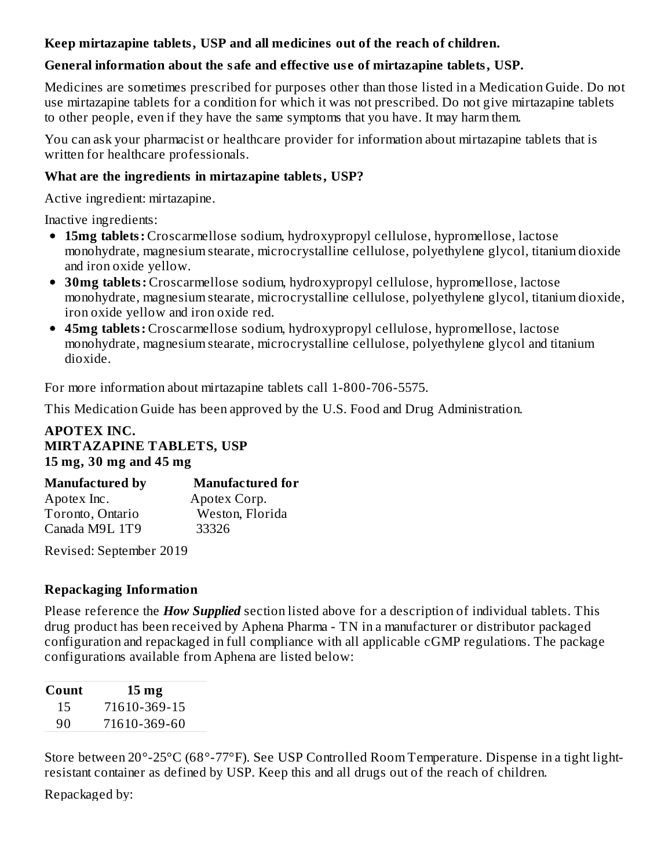#### **Keep mirtazapine tablets, USP and all medicines out of the reach of children.**

#### **General information about the safe and effective us e of mirtazapine tablets, USP.**

Medicines are sometimes prescribed for purposes other than those listed in a Medication Guide. Do not use mirtazapine tablets for a condition for which it was not prescribed. Do not give mirtazapine tablets to other people, even if they have the same symptoms that you have. It may harm them.

You can ask your pharmacist or healthcare provider for information about mirtazapine tablets that is written for healthcare professionals.

#### **What are the ingredients in mirtazapine tablets, USP?**

Active ingredient: mirtazapine.

Inactive ingredients:

- **15mg tablets:** Croscarmellose sodium, hydroxypropyl cellulose, hypromellose, lactose monohydrate, magnesium stearate, microcrystalline cellulose, polyethylene glycol, titanium dioxide and iron oxide yellow.
- **30mg tablets:** Croscarmellose sodium, hydroxypropyl cellulose, hypromellose, lactose monohydrate, magnesium stearate, microcrystalline cellulose, polyethylene glycol, titanium dioxide, iron oxide yellow and iron oxide red.
- **45mg tablets:** Croscarmellose sodium, hydroxypropyl cellulose, hypromellose, lactose monohydrate, magnesium stearate, microcrystalline cellulose, polyethylene glycol and titanium dioxide.

For more information about mirtazapine tablets call 1-800-706-5575.

This Medication Guide has been approved by the U.S. Food and Drug Administration.

#### **APOTEX INC. MIRTAZAPINE TABLETS, USP 15 mg, 30 mg and 45 mg**

| <b>Manufactured for</b> |  |  |
|-------------------------|--|--|
| Apotex Corp.            |  |  |
| Weston, Florida         |  |  |
| 33326                   |  |  |
|                         |  |  |

Revised: September 2019

#### **Repackaging Information**

Please reference the *How Supplied* section listed above for a description of individual tablets. This drug product has been received by Aphena Pharma - TN in a manufacturer or distributor packaged configuration and repackaged in full compliance with all applicable cGMP regulations. The package configurations available from Aphena are listed below:

| Count | $15 \,\mathrm{mg}$ |
|-------|--------------------|
| 15    | 71610-369-15       |
| 90    | 71610-369-60       |

Store between 20°-25°C (68°-77°F). See USP Controlled Room Temperature. Dispense in a tight lightresistant container as defined by USP. Keep this and all drugs out of the reach of children.

Repackaged by: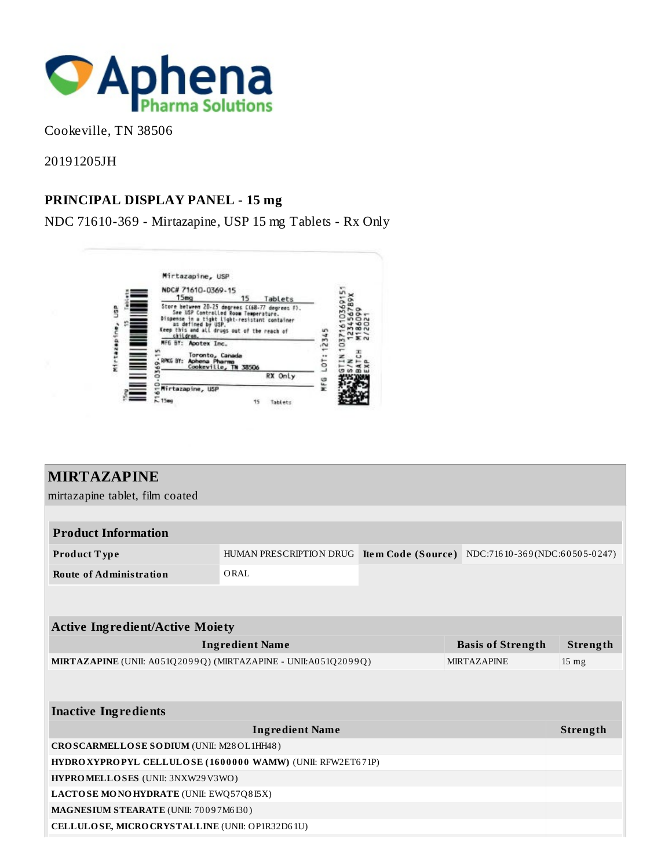

Cookeville, TN 38506

20191205JH

### **PRINCIPAL DISPLAY PANEL - 15 mg**

NDC 71610-369 - Mirtazapine, USP 15 mg Tablets - Rx Only



| <b>MIRTAZAPINE</b>                                                                   |                         |  |                                                  |          |
|--------------------------------------------------------------------------------------|-------------------------|--|--------------------------------------------------|----------|
| mirtazapine tablet, film coated                                                      |                         |  |                                                  |          |
|                                                                                      |                         |  |                                                  |          |
| <b>Product Information</b>                                                           |                         |  |                                                  |          |
| Product Type                                                                         | HUMAN PRESCRIPTION DRUG |  | Item Code (Source) NDC:71610-369(NDC:60505-0247) |          |
| <b>Route of Administration</b>                                                       | ORAL                    |  |                                                  |          |
|                                                                                      |                         |  |                                                  |          |
|                                                                                      |                         |  |                                                  |          |
| <b>Active Ingredient/Active Moiety</b>                                               |                         |  |                                                  |          |
|                                                                                      | <b>Ingredient Name</b>  |  | <b>Basis of Strength</b>                         | Strength |
| MIRTAZAPINE (UNII: A051Q2099Q) (MIRTAZAPINE - UNII:A051Q2099Q)<br><b>MIRTAZAPINE</b> |                         |  | 15 <sub>mg</sub>                                 |          |
|                                                                                      |                         |  |                                                  |          |
| <b>Inactive Ingredients</b>                                                          |                         |  |                                                  |          |
|                                                                                      | <b>Ingredient Name</b>  |  |                                                  | Strength |
| CROSCARMELLOSE SODIUM (UNII: M28OL1HH48)                                             |                         |  |                                                  |          |
| HYDRO XYPROPYL CELLULOSE (1600000 WAMW) (UNII: RFW2ET671P)                           |                         |  |                                                  |          |
| HYPROMELLOSES (UNII: 3NXW29V3WO)                                                     |                         |  |                                                  |          |
| LACTOSE MONOHYDRATE (UNII: EWQ57Q8I5X)                                               |                         |  |                                                  |          |
| MAGNESIUM STEARATE (UNII: 70097M6I30)                                                |                         |  |                                                  |          |
| CELLULOSE, MICRO CRYSTALLINE (UNII: OP1R32D61U)                                      |                         |  |                                                  |          |